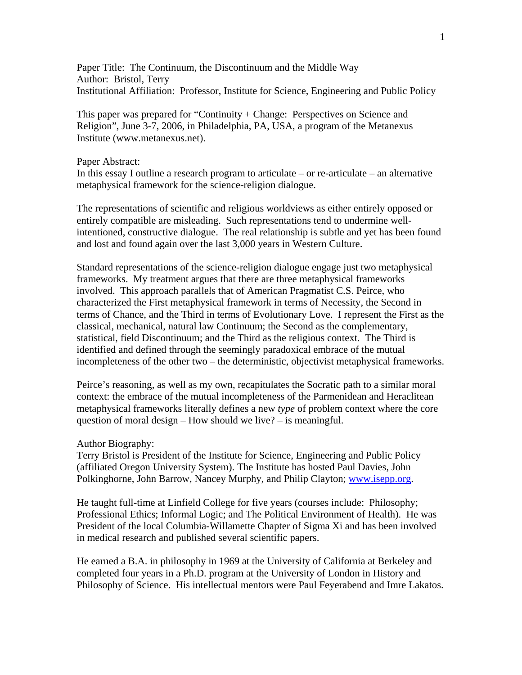Paper Title: The Continuum, the Discontinuum and the Middle Way Author: Bristol, Terry Institutional Affiliation: Professor, Institute for Science, Engineering and Public Policy

This paper was prepared for "Continuity + Change: Perspectives on Science and Religion", June 3-7, 2006, in Philadelphia, PA, USA, a program of the Metanexus Institute (www.metanexus.net).

### Paper Abstract:

In this essay I outline a research program to articulate – or re-articulate – an alternative metaphysical framework for the science-religion dialogue.

The representations of scientific and religious worldviews as either entirely opposed or entirely compatible are misleading. Such representations tend to undermine wellintentioned, constructive dialogue. The real relationship is subtle and yet has been found and lost and found again over the last 3,000 years in Western Culture.

Standard representations of the science-religion dialogue engage just two metaphysical frameworks. My treatment argues that there are three metaphysical frameworks involved. This approach parallels that of American Pragmatist C.S. Peirce, who characterized the First metaphysical framework in terms of Necessity, the Second in terms of Chance, and the Third in terms of Evolutionary Love. I represent the First as the classical, mechanical, natural law Continuum; the Second as the complementary, statistical, field Discontinuum; and the Third as the religious context. The Third is identified and defined through the seemingly paradoxical embrace of the mutual incompleteness of the other two – the deterministic, objectivist metaphysical frameworks.

Peirce's reasoning, as well as my own, recapitulates the Socratic path to a similar moral context: the embrace of the mutual incompleteness of the Parmenidean and Heraclitean metaphysical frameworks literally defines a new *type* of problem context where the core question of moral design – How should we live? – is meaningful.

#### Author Biography:

Terry Bristol is President of the Institute for Science, Engineering and Public Policy (affiliated Oregon University System). The Institute has hosted Paul Davies, John Polkinghorne, John Barrow, Nancey Murphy, and Philip Clayton; [www.isepp.org](http://www.isepp.org/).

He taught full-time at Linfield College for five years (courses include: Philosophy; Professional Ethics; Informal Logic; and The Political Environment of Health). He was President of the local Columbia-Willamette Chapter of Sigma Xi and has been involved in medical research and published several scientific papers.

He earned a B.A. in philosophy in 1969 at the University of California at Berkeley and completed four years in a Ph.D. program at the University of London in History and Philosophy of Science. His intellectual mentors were Paul Feyerabend and Imre Lakatos.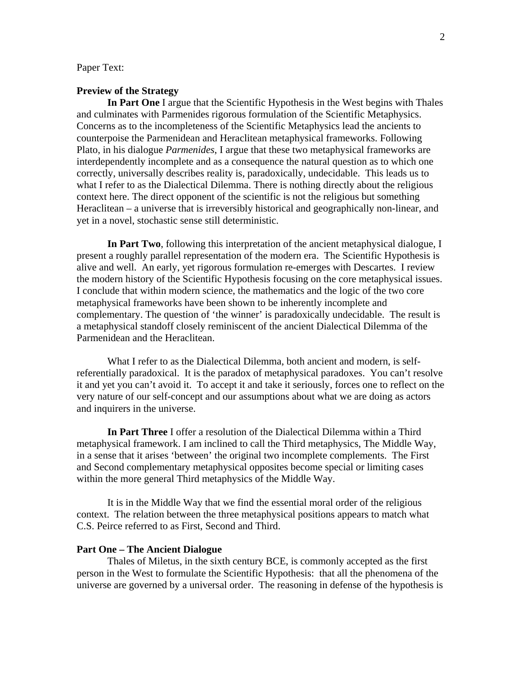# Paper Text:

# **Preview of the Strategy**

 **In Part One** I argue that the Scientific Hypothesis in the West begins with Thales and culminates with Parmenides rigorous formulation of the Scientific Metaphysics. Concerns as to the incompleteness of the Scientific Metaphysics lead the ancients to counterpoise the Parmenidean and Heraclitean metaphysical frameworks. Following Plato, in his dialogue *Parmenides*, I argue that these two metaphysical frameworks are interdependently incomplete and as a consequence the natural question as to which one correctly, universally describes reality is, paradoxically, undecidable. This leads us to what I refer to as the Dialectical Dilemma. There is nothing directly about the religious context here. The direct opponent of the scientific is not the religious but something Heraclitean – a universe that is irreversibly historical and geographically non-linear, and yet in a novel, stochastic sense still deterministic.

 **In Part Two**, following this interpretation of the ancient metaphysical dialogue, I present a roughly parallel representation of the modern era. The Scientific Hypothesis is alive and well. An early, yet rigorous formulation re-emerges with Descartes. I review the modern history of the Scientific Hypothesis focusing on the core metaphysical issues. I conclude that within modern science, the mathematics and the logic of the two core metaphysical frameworks have been shown to be inherently incomplete and complementary. The question of 'the winner' is paradoxically undecidable. The result is a metaphysical standoff closely reminiscent of the ancient Dialectical Dilemma of the Parmenidean and the Heraclitean.

What I refer to as the Dialectical Dilemma, both ancient and modern, is selfreferentially paradoxical. It is the paradox of metaphysical paradoxes. You can't resolve it and yet you can't avoid it. To accept it and take it seriously, forces one to reflect on the very nature of our self-concept and our assumptions about what we are doing as actors and inquirers in the universe.

 **In Part Three** I offer a resolution of the Dialectical Dilemma within a Third metaphysical framework. I am inclined to call the Third metaphysics, The Middle Way, in a sense that it arises 'between' the original two incomplete complements. The First and Second complementary metaphysical opposites become special or limiting cases within the more general Third metaphysics of the Middle Way.

 It is in the Middle Way that we find the essential moral order of the religious context. The relation between the three metaphysical positions appears to match what C.S. Peirce referred to as First, Second and Third.

### **Part One – The Ancient Dialogue**

 Thales of Miletus, in the sixth century BCE, is commonly accepted as the first person in the West to formulate the Scientific Hypothesis: that all the phenomena of the universe are governed by a universal order. The reasoning in defense of the hypothesis is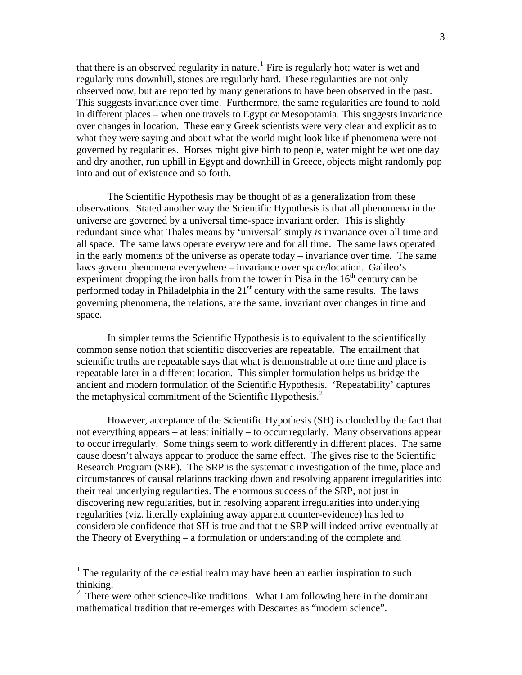that there is an observed regularity in nature.<sup>[1](#page-2-0)</sup> Fire is regularly hot; water is wet and regularly runs downhill, stones are regularly hard. These regularities are not only observed now, but are reported by many generations to have been observed in the past. This suggests invariance over time. Furthermore, the same regularities are found to hold in different places – when one travels to Egypt or Mesopotamia. This suggests invariance over changes in location. These early Greek scientists were very clear and explicit as to what they were saying and about what the world might look like if phenomena were not governed by regularities. Horses might give birth to people, water might be wet one day and dry another, run uphill in Egypt and downhill in Greece, objects might randomly pop into and out of existence and so forth.

 The Scientific Hypothesis may be thought of as a generalization from these observations. Stated another way the Scientific Hypothesis is that all phenomena in the universe are governed by a universal time-space invariant order. This is slightly redundant since what Thales means by 'universal' simply *is* invariance over all time and all space. The same laws operate everywhere and for all time. The same laws operated in the early moments of the universe as operate today – invariance over time. The same laws govern phenomena everywhere – invariance over space/location. Galileo's experiment dropping the iron balls from the tower in Pisa in the  $16<sup>th</sup>$  century can be performed today in Philadelphia in the  $21<sup>st</sup>$  century with the same results. The laws governing phenomena, the relations, are the same, invariant over changes in time and space.

 In simpler terms the Scientific Hypothesis is to equivalent to the scientifically common sense notion that scientific discoveries are repeatable. The entailment that scientific truths are repeatable says that what is demonstrable at one time and place is repeatable later in a different location. This simpler formulation helps us bridge the ancient and modern formulation of the Scientific Hypothesis. 'Repeatability' captures the metaphysical commitment of the Scientific Hypothesis.<sup>[2](#page-2-1)</sup>

 However, acceptance of the Scientific Hypothesis (SH) is clouded by the fact that not everything appears – at least initially – to occur regularly. Many observations appear to occur irregularly. Some things seem to work differently in different places. The same cause doesn't always appear to produce the same effect. The gives rise to the Scientific Research Program (SRP). The SRP is the systematic investigation of the time, place and circumstances of causal relations tracking down and resolving apparent irregularities into their real underlying regularities. The enormous success of the SRP, not just in discovering new regularities, but in resolving apparent irregularities into underlying regularities (viz. literally explaining away apparent counter-evidence) has led to considerable confidence that SH is true and that the SRP will indeed arrive eventually at the Theory of Everything – a formulation or understanding of the complete and

<span id="page-2-0"></span> $<sup>1</sup>$  The regularity of the celestial realm may have been an earlier inspiration to such</sup> thinking.

<span id="page-2-1"></span> $2^2$  There were other science-like traditions. What I am following here in the dominant mathematical tradition that re-emerges with Descartes as "modern science".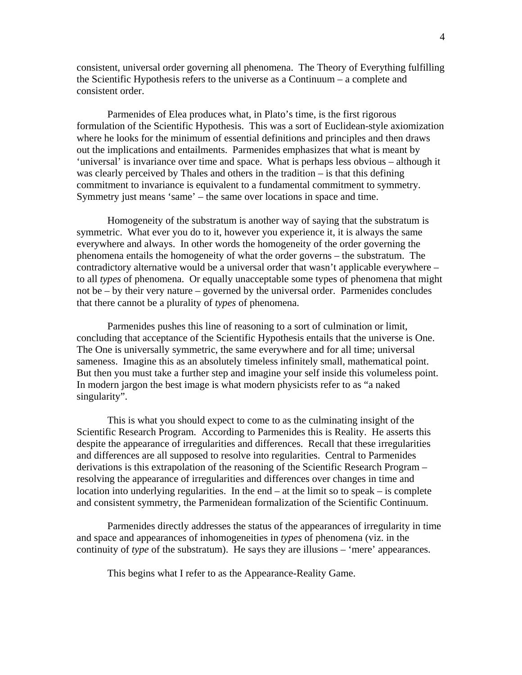consistent, universal order governing all phenomena. The Theory of Everything fulfilling the Scientific Hypothesis refers to the universe as a Continuum – a complete and consistent order.

 Parmenides of Elea produces what, in Plato's time, is the first rigorous formulation of the Scientific Hypothesis. This was a sort of Euclidean-style axiomization where he looks for the minimum of essential definitions and principles and then draws out the implications and entailments. Parmenides emphasizes that what is meant by 'universal' is invariance over time and space. What is perhaps less obvious – although it was clearly perceived by Thales and others in the tradition – is that this defining commitment to invariance is equivalent to a fundamental commitment to symmetry. Symmetry just means 'same' – the same over locations in space and time.

 Homogeneity of the substratum is another way of saying that the substratum is symmetric. What ever you do to it, however you experience it, it is always the same everywhere and always. In other words the homogeneity of the order governing the phenomena entails the homogeneity of what the order governs – the substratum. The contradictory alternative would be a universal order that wasn't applicable everywhere – to all *types* of phenomena. Or equally unacceptable some types of phenomena that might not be – by their very nature – governed by the universal order. Parmenides concludes that there cannot be a plurality of *types* of phenomena.

 Parmenides pushes this line of reasoning to a sort of culmination or limit, concluding that acceptance of the Scientific Hypothesis entails that the universe is One. The One is universally symmetric, the same everywhere and for all time; universal sameness. Imagine this as an absolutely timeless infinitely small, mathematical point. But then you must take a further step and imagine your self inside this volumeless point. In modern jargon the best image is what modern physicists refer to as "a naked singularity".

 This is what you should expect to come to as the culminating insight of the Scientific Research Program. According to Parmenides this is Reality. He asserts this despite the appearance of irregularities and differences. Recall that these irregularities and differences are all supposed to resolve into regularities. Central to Parmenides derivations is this extrapolation of the reasoning of the Scientific Research Program – resolving the appearance of irregularities and differences over changes in time and location into underlying regularities. In the end – at the limit so to speak – is complete and consistent symmetry, the Parmenidean formalization of the Scientific Continuum.

 Parmenides directly addresses the status of the appearances of irregularity in time and space and appearances of inhomogeneities in *types* of phenomena (viz. in the continuity of *type* of the substratum). He says they are illusions – 'mere' appearances.

This begins what I refer to as the Appearance-Reality Game.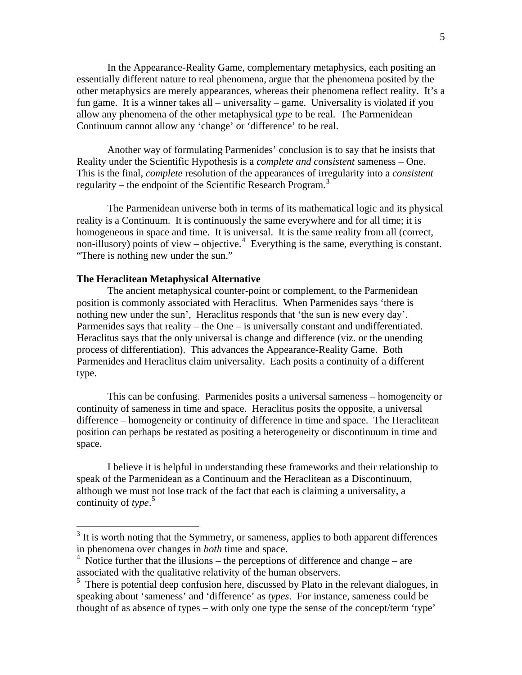In the Appearance-Reality Game, complementary metaphysics, each positing an essentially different nature to real phenomena, argue that the phenomena posited by the other metaphysics are merely appearances, whereas their phenomena reflect reality. It's a fun game. It is a winner takes all – universality – game. Universality is violated if you allow any phenomena of the other metaphysical *type* to be real. The Parmenidean Continuum cannot allow any 'change' or 'difference' to be real.

 Another way of formulating Parmenides' conclusion is to say that he insists that Reality under the Scientific Hypothesis is a *complete and consistent* sameness – One. This is the final, *complete* resolution of the appearances of irregularity into a *consistent* regularity – the endpoint of the Scientific Research Program.<sup>[3](#page-4-0)</sup>

 The Parmenidean universe both in terms of its mathematical logic and its physical reality is a Continuum. It is continuously the same everywhere and for all time; it is homogeneous in space and time. It is universal. It is the same reality from all (correct, non-illusory) points of view – objective.<sup>[4](#page-4-1)</sup> Everything is the same, everything is constant. "There is nothing new under the sun."

#### **The Heraclitean Metaphysical Alternative**

 The ancient metaphysical counter-point or complement, to the Parmenidean position is commonly associated with Heraclitus. When Parmenides says 'there is nothing new under the sun', Heraclitus responds that 'the sun is new every day'. Parmenides says that reality – the One – is universally constant and undifferentiated. Heraclitus says that the only universal is change and difference (viz. or the unending process of differentiation). This advances the Appearance-Reality Game. Both Parmenides and Heraclitus claim universality. Each posits a continuity of a different type.

 This can be confusing. Parmenides posits a universal sameness – homogeneity or continuity of sameness in time and space. Heraclitus posits the opposite, a universal difference – homogeneity or continuity of difference in time and space. The Heraclitean position can perhaps be restated as positing a heterogeneity or discontinuum in time and space.

 I believe it is helpful in understanding these frameworks and their relationship to speak of the Parmenidean as a Continuum and the Heraclitean as a Discontinuum, although we must not lose track of the fact that each is claiming a universality, a continuity of *type*. [5](#page-4-2)

<span id="page-4-0"></span><sup>&</sup>lt;sup>3</sup> It is worth noting that the Symmetry, or sameness, applies to both apparent differences in phenomena over changes in *both* time and space.

<span id="page-4-1"></span> $4$  Notice further that the illusions – the perceptions of difference and change – are associated with the qualitative relativity of the human observers.

<span id="page-4-2"></span><sup>&</sup>lt;sup>5</sup> There is potential deep confusion here, discussed by Plato in the relevant dialogues, in speaking about 'sameness' and 'difference' as *types*. For instance, sameness could be thought of as absence of types – with only one type the sense of the concept/term 'type'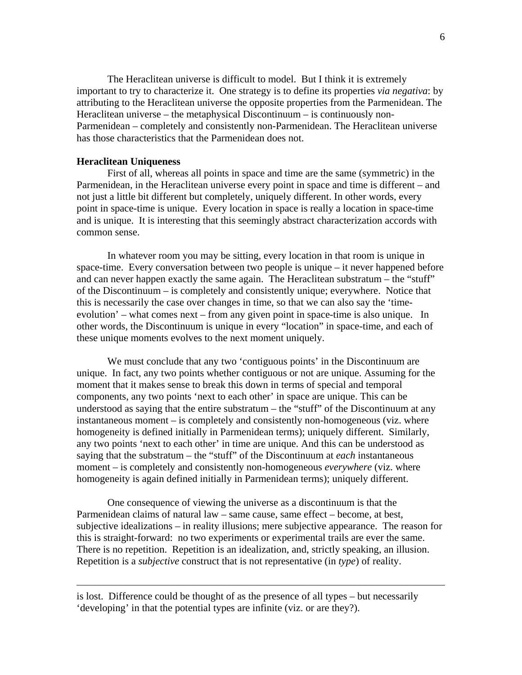The Heraclitean universe is difficult to model. But I think it is extremely important to try to characterize it. One strategy is to define its properties *via negativa*: by attributing to the Heraclitean universe the opposite properties from the Parmenidean. The Heraclitean universe – the metaphysical Discontinuum – is continuously non-Parmenidean – completely and consistently non-Parmenidean. The Heraclitean universe has those characteristics that the Parmenidean does not.

### **Heraclitean Uniqueness**

 $\overline{a}$ 

 First of all, whereas all points in space and time are the same (symmetric) in the Parmenidean, in the Heraclitean universe every point in space and time is different – and not just a little bit different but completely, uniquely different. In other words, every point in space-time is unique. Every location in space is really a location in space-time and is unique. It is interesting that this seemingly abstract characterization accords with common sense.

 In whatever room you may be sitting, every location in that room is unique in space-time. Every conversation between two people is unique – it never happened before and can never happen exactly the same again. The Heraclitean substratum – the "stuff" of the Discontinuum – is completely and consistently unique; everywhere. Notice that this is necessarily the case over changes in time, so that we can also say the 'timeevolution' – what comes next – from any given point in space-time is also unique. In other words, the Discontinuum is unique in every "location" in space-time, and each of these unique moments evolves to the next moment uniquely.

 We must conclude that any two 'contiguous points' in the Discontinuum are unique. In fact, any two points whether contiguous or not are unique. Assuming for the moment that it makes sense to break this down in terms of special and temporal components, any two points 'next to each other' in space are unique. This can be understood as saying that the entire substratum – the "stuff" of the Discontinuum at any instantaneous moment – is completely and consistently non-homogeneous (viz. where homogeneity is defined initially in Parmenidean terms); uniquely different. Similarly, any two points 'next to each other' in time are unique. And this can be understood as saying that the substratum – the "stuff" of the Discontinuum at *each* instantaneous moment – is completely and consistently non-homogeneous *everywhere* (viz. where homogeneity is again defined initially in Parmenidean terms); uniquely different.

 One consequence of viewing the universe as a discontinuum is that the Parmenidean claims of natural law – same cause, same effect – become, at best, subjective idealizations – in reality illusions; mere subjective appearance. The reason for this is straight-forward: no two experiments or experimental trails are ever the same. There is no repetition. Repetition is an idealization, and, strictly speaking, an illusion. Repetition is a *subjective* construct that is not representative (in *type*) of reality.

is lost. Difference could be thought of as the presence of all types – but necessarily 'developing' in that the potential types are infinite (viz. or are they?).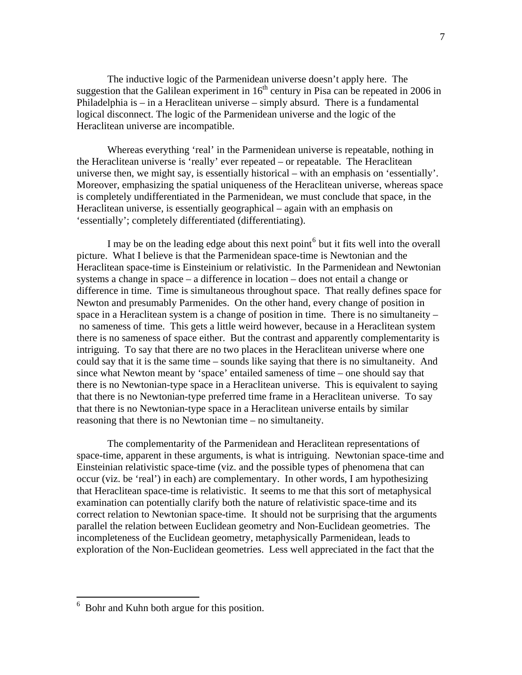The inductive logic of the Parmenidean universe doesn't apply here. The suggestion that the Galilean experiment in  $16<sup>th</sup>$  century in Pisa can be repeated in 2006 in Philadelphia is – in a Heraclitean universe – simply absurd. There is a fundamental logical disconnect. The logic of the Parmenidean universe and the logic of the Heraclitean universe are incompatible.

Whereas everything 'real' in the Parmenidean universe is repeatable, nothing in the Heraclitean universe is 'really' ever repeated – or repeatable. The Heraclitean universe then, we might say, is essentially historical – with an emphasis on 'essentially'. Moreover, emphasizing the spatial uniqueness of the Heraclitean universe, whereas space is completely undifferentiated in the Parmenidean, we must conclude that space, in the Heraclitean universe, is essentially geographical – again with an emphasis on 'essentially'; completely differentiated (differentiating).

I may be on the leading edge about this next point $<sup>6</sup>$  $<sup>6</sup>$  $<sup>6</sup>$  but it fits well into the overall</sup> picture. What I believe is that the Parmenidean space-time is Newtonian and the Heraclitean space-time is Einsteinium or relativistic. In the Parmenidean and Newtonian systems a change in space – a difference in location – does not entail a change or difference in time. Time is simultaneous throughout space. That really defines space for Newton and presumably Parmenides. On the other hand, every change of position in space in a Heraclitean system is a change of position in time. There is no simultaneity – no sameness of time. This gets a little weird however, because in a Heraclitean system there is no sameness of space either. But the contrast and apparently complementarity is intriguing. To say that there are no two places in the Heraclitean universe where one could say that it is the same time – sounds like saying that there is no simultaneity. And since what Newton meant by 'space' entailed sameness of time – one should say that there is no Newtonian-type space in a Heraclitean universe. This is equivalent to saying that there is no Newtonian-type preferred time frame in a Heraclitean universe. To say that there is no Newtonian-type space in a Heraclitean universe entails by similar reasoning that there is no Newtonian time – no simultaneity.

 The complementarity of the Parmenidean and Heraclitean representations of space-time, apparent in these arguments, is what is intriguing. Newtonian space-time and Einsteinian relativistic space-time (viz. and the possible types of phenomena that can occur (viz. be 'real') in each) are complementary. In other words, I am hypothesizing that Heraclitean space-time is relativistic. It seems to me that this sort of metaphysical examination can potentially clarify both the nature of relativistic space-time and its correct relation to Newtonian space-time. It should not be surprising that the arguments parallel the relation between Euclidean geometry and Non-Euclidean geometries. The incompleteness of the Euclidean geometry, metaphysically Parmenidean, leads to exploration of the Non-Euclidean geometries. Less well appreciated in the fact that the

<span id="page-6-0"></span> 6 Bohr and Kuhn both argue for this position.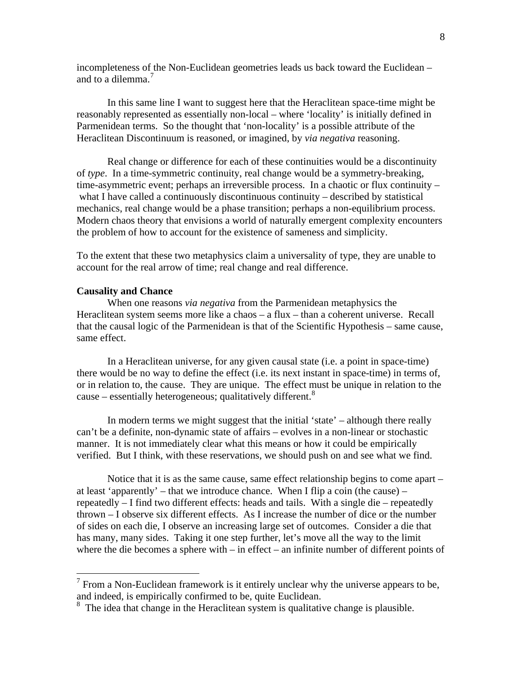incompleteness of the Non-Euclidean geometries leads us back toward the Euclidean – and to a dilemma.<sup>[7](#page-7-0)</sup>

 In this same line I want to suggest here that the Heraclitean space-time might be reasonably represented as essentially non-local – where 'locality' is initially defined in Parmenidean terms. So the thought that 'non-locality' is a possible attribute of the Heraclitean Discontinuum is reasoned, or imagined, by *via negativa* reasoning.

 Real change or difference for each of these continuities would be a discontinuity of *type*. In a time-symmetric continuity, real change would be a symmetry-breaking, time-asymmetric event; perhaps an irreversible process. In a chaotic or flux continuity – what I have called a continuously discontinuous continuity – described by statistical mechanics, real change would be a phase transition; perhaps a non-equilibrium process. Modern chaos theory that envisions a world of naturally emergent complexity encounters the problem of how to account for the existence of sameness and simplicity.

To the extent that these two metaphysics claim a universality of type, they are unable to account for the real arrow of time; real change and real difference.

## **Causality and Chance**

 $\overline{a}$ 

 When one reasons *via negativa* from the Parmenidean metaphysics the Heraclitean system seems more like a chaos – a flux – than a coherent universe. Recall that the causal logic of the Parmenidean is that of the Scientific Hypothesis – same cause, same effect.

 In a Heraclitean universe, for any given causal state (i.e. a point in space-time) there would be no way to define the effect (i.e. its next instant in space-time) in terms of, or in relation to, the cause. They are unique. The effect must be unique in relation to the cause – essentially heterogeneous; qualitatively different.<sup>[8](#page-7-1)</sup>

 In modern terms we might suggest that the initial 'state' – although there really can't be a definite, non-dynamic state of affairs – evolves in a non-linear or stochastic manner. It is not immediately clear what this means or how it could be empirically verified. But I think, with these reservations, we should push on and see what we find.

 Notice that it is as the same cause, same effect relationship begins to come apart – at least 'apparently' – that we introduce chance. When I flip a coin (the cause) – repeatedly – I find two different effects: heads and tails. With a single die – repeatedly thrown – I observe six different effects. As I increase the number of dice or the number of sides on each die, I observe an increasing large set of outcomes. Consider a die that has many, many sides. Taking it one step further, let's move all the way to the limit where the die becomes a sphere with – in effect – an infinite number of different points of

<span id="page-7-0"></span> $<sup>7</sup>$  From a Non-Euclidean framework is it entirely unclear why the universe appears to be,</sup> and indeed, is empirically confirmed to be, quite Euclidean.

<span id="page-7-1"></span><sup>&</sup>lt;sup>8</sup> The idea that change in the Heraclitean system is qualitative change is plausible.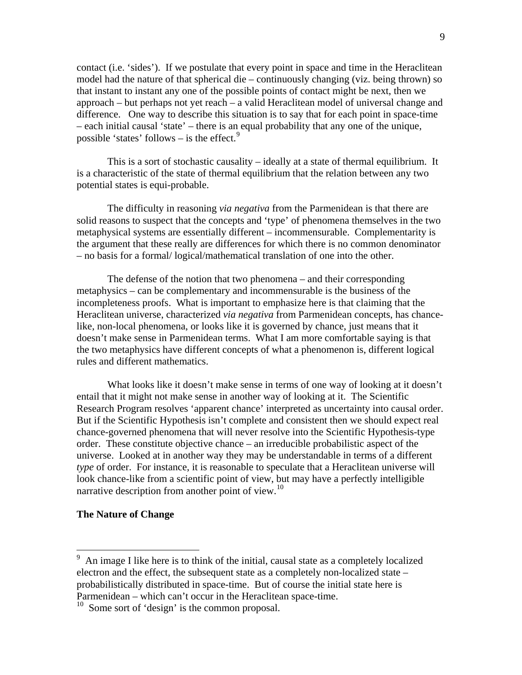contact (i.e. 'sides'). If we postulate that every point in space and time in the Heraclitean model had the nature of that spherical die – continuously changing (viz. being thrown) so that instant to instant any one of the possible points of contact might be next, then we approach – but perhaps not yet reach – a valid Heraclitean model of universal change and difference. One way to describe this situation is to say that for each point in space-time – each initial causal 'state' – there is an equal probability that any one of the unique, possible 'states' follows – is the effect. $9$ 

 This is a sort of stochastic causality – ideally at a state of thermal equilibrium. It is a characteristic of the state of thermal equilibrium that the relation between any two potential states is equi-probable.

 The difficulty in reasoning *via negativa* from the Parmenidean is that there are solid reasons to suspect that the concepts and 'type' of phenomena themselves in the two metaphysical systems are essentially different – incommensurable. Complementarity is the argument that these really are differences for which there is no common denominator – no basis for a formal/ logical/mathematical translation of one into the other.

 The defense of the notion that two phenomena – and their corresponding metaphysics – can be complementary and incommensurable is the business of the incompleteness proofs. What is important to emphasize here is that claiming that the Heraclitean universe, characterized *via negativa* from Parmenidean concepts, has chancelike, non-local phenomena, or looks like it is governed by chance, just means that it doesn't make sense in Parmenidean terms. What I am more comfortable saying is that the two metaphysics have different concepts of what a phenomenon is, different logical rules and different mathematics.

 What looks like it doesn't make sense in terms of one way of looking at it doesn't entail that it might not make sense in another way of looking at it. The Scientific Research Program resolves 'apparent chance' interpreted as uncertainty into causal order. But if the Scientific Hypothesis isn't complete and consistent then we should expect real chance-governed phenomena that will never resolve into the Scientific Hypothesis-type order. These constitute objective chance – an irreducible probabilistic aspect of the universe. Looked at in another way they may be understandable in terms of a different *type* of order. For instance, it is reasonable to speculate that a Heraclitean universe will look chance-like from a scientific point of view, but may have a perfectly intelligible narrative description from another point of view.<sup>[10](#page-8-1)</sup>

### **The Nature of Change**

<span id="page-8-0"></span><sup>9</sup> An image I like here is to think of the initial, causal state as a completely localized electron and the effect, the subsequent state as a completely non-localized state – probabilistically distributed in space-time. But of course the initial state here is Parmenidean – which can't occur in the Heraclitean space-time.

<span id="page-8-1"></span><sup>&</sup>lt;sup>10</sup> Some sort of 'design' is the common proposal.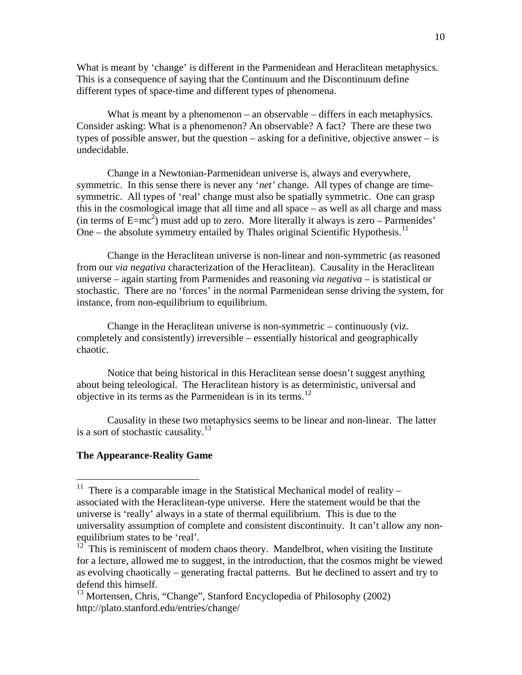What is meant by 'change' is different in the Parmenidean and Heraclitean metaphysics. This is a consequence of saying that the Continuum and the Discontinuum define different types of space-time and different types of phenomena.

What is meant by a phenomenon – an observable – differs in each metaphysics. Consider asking: What is a phenomenon? An observable? A fact? There are these two types of possible answer, but the question – asking for a definitive, objective answer – is undecidable.

 Change in a Newtonian-Parmenidean universe is, always and everywhere, symmetric. In this sense there is never any '*net'* change. All types of change are timesymmetric. All types of 'real' change must also be spatially symmetric. One can grasp this in the cosmological image that all time and all space – as well as all charge and mass (in terms of  $E=mc^2$ ) must add up to zero. More literally it always is zero – Parmenides' One – the absolute symmetry entailed by Thales original Scientific Hypothesis.<sup>[11](#page-9-0)</sup>

 Change in the Heraclitean universe is non-linear and non-symmetric (as reasoned from our *via negativa* characterization of the Heraclitean). Causality in the Heraclitean universe – again starting from Parmenides and reasoning *via negativa* – is statistical or stochastic. There are no 'forces' in the normal Parmenidean sense driving the system, for instance, from non-equilibrium to equilibrium.

 Change in the Heraclitean universe is non-symmetric – continuously (viz. completely and consistently) irreversible – essentially historical and geographically chaotic.

 Notice that being historical in this Heraclitean sense doesn't suggest anything about being teleological. The Heraclitean history is as deterministic, universal and objective in its terms as the Parmenidean is in its terms.<sup>[12](#page-9-1)</sup>

 Causality in these two metaphysics seems to be linear and non-linear. The latter is a sort of stochastic causality. $13$ 

# **The Appearance-Reality Game**

<span id="page-9-0"></span><sup>&</sup>lt;sup>11</sup> There is a comparable image in the Statistical Mechanical model of reality  $$ associated with the Heraclitean-type universe. Here the statement would be that the universe is 'really' always in a state of thermal equilibrium. This is due to the universality assumption of complete and consistent discontinuity. It can't allow any nonequilibrium states to be 'real'.

<span id="page-9-1"></span> $12^{12}$  This is reminiscent of modern chaos theory. Mandelbrot, when visiting the Institute for a lecture, allowed me to suggest, in the introduction, that the cosmos might be viewed as evolving chaotically – generating fractal patterns. But he declined to assert and try to defend this himself.

<span id="page-9-2"></span><sup>&</sup>lt;sup>13</sup> Mortensen, Chris, "Change", Stanford Encyclopedia of Philosophy (2002) http://plato.stanford.edu/entries/change/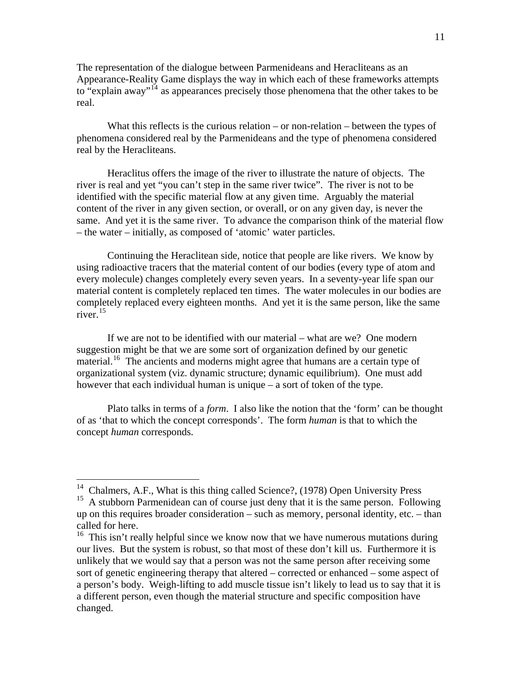The representation of the dialogue between Parmenideans and Heracliteans as an Appearance-Reality Game displays the way in which each of these frameworks attempts to "explain away"<sup>[14](#page-10-0)</sup> as appearances precisely those phenomena that the other takes to be real.

What this reflects is the curious relation – or non-relation – between the types of phenomena considered real by the Parmenideans and the type of phenomena considered real by the Heracliteans.

 Heraclitus offers the image of the river to illustrate the nature of objects. The river is real and yet "you can't step in the same river twice". The river is not to be identified with the specific material flow at any given time. Arguably the material content of the river in any given section, or overall, or on any given day, is never the same. And yet it is the same river. To advance the comparison think of the material flow – the water – initially, as composed of 'atomic' water particles.

 Continuing the Heraclitean side, notice that people are like rivers. We know by using radioactive tracers that the material content of our bodies (every type of atom and every molecule) changes completely every seven years. In a seventy-year life span our material content is completely replaced ten times. The water molecules in our bodies are completely replaced every eighteen months. And yet it is the same person, like the same river.[15](#page-10-1)

 If we are not to be identified with our material – what are we? One modern suggestion might be that we are some sort of organization defined by our genetic material.<sup>[16](#page-10-2)</sup> The ancients and moderns might agree that humans are a certain type of organizational system (viz. dynamic structure; dynamic equilibrium). One must add however that each individual human is unique – a sort of token of the type.

 Plato talks in terms of a *form*. I also like the notion that the 'form' can be thought of as 'that to which the concept corresponds'. The form *human* is that to which the concept *human* corresponds.

 $14$  Chalmers, A.F., What is this thing called Science?, (1978) Open University Press

<span id="page-10-1"></span><span id="page-10-0"></span><sup>&</sup>lt;sup>15</sup> A stubborn Parmenidean can of course just deny that it is the same person. Following up on this requires broader consideration – such as memory, personal identity, etc. – than called for here.

<span id="page-10-2"></span><sup>&</sup>lt;sup>16</sup> This isn't really helpful since we know now that we have numerous mutations during our lives. But the system is robust, so that most of these don't kill us. Furthermore it is unlikely that we would say that a person was not the same person after receiving some sort of genetic engineering therapy that altered – corrected or enhanced – some aspect of a person's body. Weigh-lifting to add muscle tissue isn't likely to lead us to say that it is a different person, even though the material structure and specific composition have changed.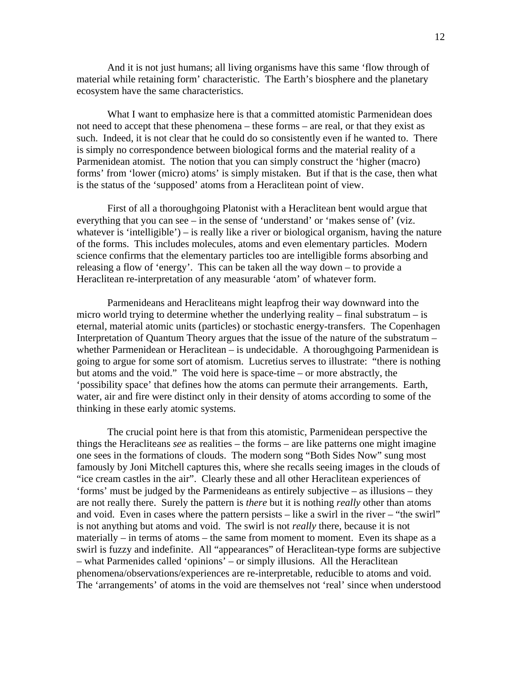And it is not just humans; all living organisms have this same 'flow through of material while retaining form' characteristic. The Earth's biosphere and the planetary ecosystem have the same characteristics.

What I want to emphasize here is that a committed atomistic Parmenidean does not need to accept that these phenomena – these forms – are real, or that they exist as such. Indeed, it is not clear that he could do so consistently even if he wanted to. There is simply no correspondence between biological forms and the material reality of a Parmenidean atomist. The notion that you can simply construct the 'higher (macro) forms' from 'lower (micro) atoms' is simply mistaken. But if that is the case, then what is the status of the 'supposed' atoms from a Heraclitean point of view.

 First of all a thoroughgoing Platonist with a Heraclitean bent would argue that everything that you can see – in the sense of 'understand' or 'makes sense of' (viz. whatever is 'intelligible') – is really like a river or biological organism, having the nature of the forms. This includes molecules, atoms and even elementary particles. Modern science confirms that the elementary particles too are intelligible forms absorbing and releasing a flow of 'energy'. This can be taken all the way down – to provide a Heraclitean re-interpretation of any measurable 'atom' of whatever form.

 Parmenideans and Heracliteans might leapfrog their way downward into the micro world trying to determine whether the underlying reality – final substratum – is eternal, material atomic units (particles) or stochastic energy-transfers. The Copenhagen Interpretation of Quantum Theory argues that the issue of the nature of the substratum – whether Parmenidean or Heraclitean – is undecidable. A thoroughgoing Parmenidean is going to argue for some sort of atomism. Lucretius serves to illustrate: "there is nothing but atoms and the void." The void here is space-time – or more abstractly, the 'possibility space' that defines how the atoms can permute their arrangements. Earth, water, air and fire were distinct only in their density of atoms according to some of the thinking in these early atomic systems.

 The crucial point here is that from this atomistic, Parmenidean perspective the things the Heracliteans *see* as realities – the forms – are like patterns one might imagine one sees in the formations of clouds. The modern song "Both Sides Now" sung most famously by Joni Mitchell captures this, where she recalls seeing images in the clouds of "ice cream castles in the air". Clearly these and all other Heraclitean experiences of 'forms' must be judged by the Parmenideans as entirely subjective – as illusions – they are not really there. Surely the pattern is *there* but it is nothing *really* other than atoms and void. Even in cases where the pattern persists – like a swirl in the river – "the swirl" is not anything but atoms and void. The swirl is not *really* there, because it is not materially – in terms of atoms – the same from moment to moment. Even its shape as a swirl is fuzzy and indefinite. All "appearances" of Heraclitean-type forms are subjective – what Parmenides called 'opinions' – or simply illusions. All the Heraclitean phenomena/observations/experiences are re-interpretable, reducible to atoms and void. The 'arrangements' of atoms in the void are themselves not 'real' since when understood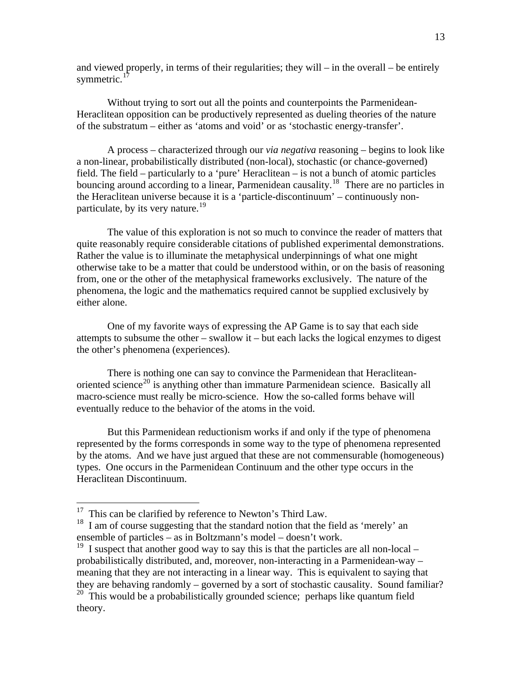and viewed properly, in terms of their regularities; they will – in the overall – be entirely symmetric. $17$ 

 Without trying to sort out all the points and counterpoints the Parmenidean-Heraclitean opposition can be productively represented as dueling theories of the nature of the substratum – either as 'atoms and void' or as 'stochastic energy-transfer'.

 A process – characterized through our *via negativa* reasoning – begins to look like a non-linear, probabilistically distributed (non-local), stochastic (or chance-governed) field. The field – particularly to a 'pure' Heraclitean – is not a bunch of atomic particles bouncing around according to a linear, Parmenidean causality.<sup>[18](#page-12-1)</sup> There are no particles in the Heraclitean universe because it is a 'particle-discontinuum' – continuously non-particulate, by its very nature.<sup>[19](#page-12-2)</sup>

 The value of this exploration is not so much to convince the reader of matters that quite reasonably require considerable citations of published experimental demonstrations. Rather the value is to illuminate the metaphysical underpinnings of what one might otherwise take to be a matter that could be understood within, or on the basis of reasoning from, one or the other of the metaphysical frameworks exclusively. The nature of the phenomena, the logic and the mathematics required cannot be supplied exclusively by either alone.

 One of my favorite ways of expressing the AP Game is to say that each side attempts to subsume the other – swallow it – but each lacks the logical enzymes to digest the other's phenomena (experiences).

 There is nothing one can say to convince the Parmenidean that Heraclitean-oriented science<sup>[20](#page-12-3)</sup> is anything other than immature Parmenidean science. Basically all macro-science must really be micro-science. How the so-called forms behave will eventually reduce to the behavior of the atoms in the void.

 But this Parmenidean reductionism works if and only if the type of phenomena represented by the forms corresponds in some way to the type of phenomena represented by the atoms. And we have just argued that these are not commensurable (homogeneous) types. One occurs in the Parmenidean Continuum and the other type occurs in the Heraclitean Discontinuum.

 $17$  This can be clarified by reference to Newton's Third Law.

<span id="page-12-1"></span><span id="page-12-0"></span><sup>&</sup>lt;sup>18</sup> I am of course suggesting that the standard notion that the field as 'merely' an ensemble of particles – as in Boltzmann's model – doesn't work.

<span id="page-12-2"></span><sup>&</sup>lt;sup>19</sup> I suspect that another good way to say this is that the particles are all non-local – probabilistically distributed, and, moreover, non-interacting in a Parmenidean-way – meaning that they are not interacting in a linear way. This is equivalent to saying that they are behaving randomly – governed by a sort of stochastic causality. Sound familiar?

<span id="page-12-3"></span> $20$  This would be a probabilistically grounded science; perhaps like quantum field theory.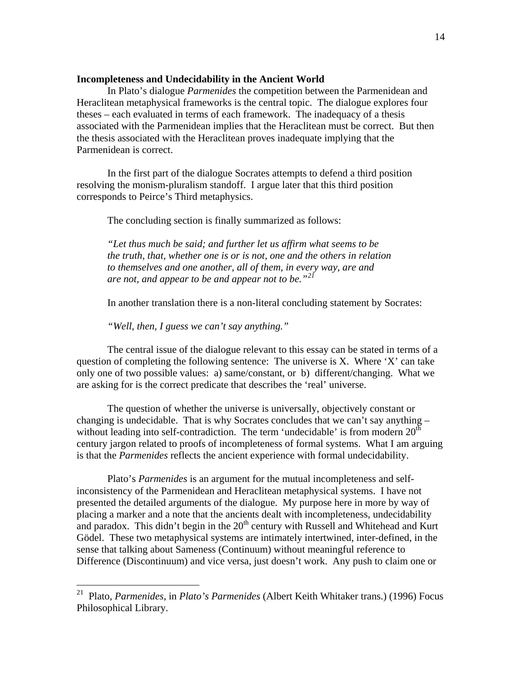### **Incompleteness and Undecidability in the Ancient World**

 In Plato's dialogue *Parmenides* the competition between the Parmenidean and Heraclitean metaphysical frameworks is the central topic. The dialogue explores four theses – each evaluated in terms of each framework. The inadequacy of a thesis associated with the Parmenidean implies that the Heraclitean must be correct. But then the thesis associated with the Heraclitean proves inadequate implying that the Parmenidean is correct.

 In the first part of the dialogue Socrates attempts to defend a third position resolving the monism-pluralism standoff. I argue later that this third position corresponds to Peirce's Third metaphysics.

The concluding section is finally summarized as follows:

 *"Let thus much be said; and further let us affirm what seems to be the truth, that, whether one is or is not, one and the others in relation to themselves and one another, all of them, in every way, are and are not, and appear to be and appear not to be."[21](#page-13-0)*

In another translation there is a non-literal concluding statement by Socrates:

 *"Well, then, I guess we can't say anything."* 

 $\overline{a}$ 

 The central issue of the dialogue relevant to this essay can be stated in terms of a question of completing the following sentence: The universe is X. Where 'X' can take only one of two possible values: a) same/constant, or b) different/changing. What we are asking for is the correct predicate that describes the 'real' universe.

 The question of whether the universe is universally, objectively constant or changing is undecidable. That is why Socrates concludes that we can't say anything – without leading into self-contradiction. The term 'undecidable' is from modern  $20<sup>th</sup>$ century jargon related to proofs of incompleteness of formal systems. What I am arguing is that the *Parmenides* reflects the ancient experience with formal undecidability.

 Plato's *Parmenides* is an argument for the mutual incompleteness and selfinconsistency of the Parmenidean and Heraclitean metaphysical systems. I have not presented the detailed arguments of the dialogue. My purpose here in more by way of placing a marker and a note that the ancients dealt with incompleteness, undecidability and paradox. This didn't begin in the  $20<sup>th</sup>$  century with Russell and Whitehead and Kurt Gödel. These two metaphysical systems are intimately intertwined, inter-defined, in the sense that talking about Sameness (Continuum) without meaningful reference to Difference (Discontinuum) and vice versa, just doesn't work. Any push to claim one or

<span id="page-13-0"></span><sup>21</sup> Plato, *Parmenides*, in *Plato's Parmenides* (Albert Keith Whitaker trans.) (1996) Focus Philosophical Library.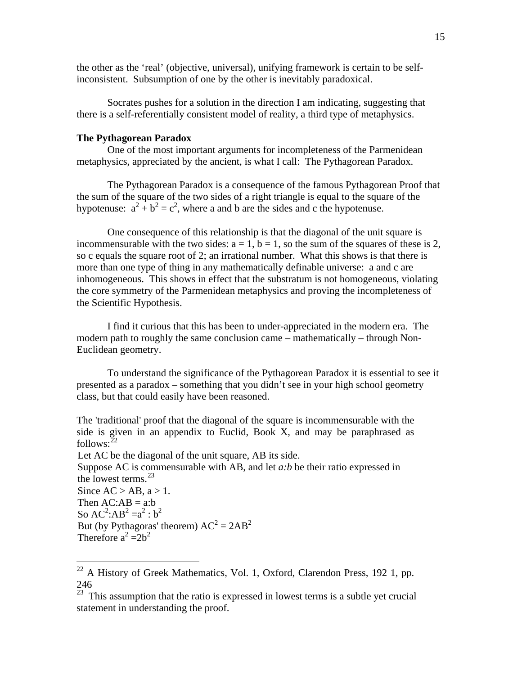the other as the 'real' (objective, universal), unifying framework is certain to be selfinconsistent. Subsumption of one by the other is inevitably paradoxical.

 Socrates pushes for a solution in the direction I am indicating, suggesting that there is a self-referentially consistent model of reality, a third type of metaphysics.

# **The Pythagorean Paradox**

 $\overline{a}$ 

 One of the most important arguments for incompleteness of the Parmenidean metaphysics, appreciated by the ancient, is what I call: The Pythagorean Paradox.

 The Pythagorean Paradox is a consequence of the famous Pythagorean Proof that the sum of the square of the two sides of a right triangle is equal to the square of the hypotenuse:  $a^2 + b^2 = c^2$ , where a and b are the sides and c the hypotenuse.

 One consequence of this relationship is that the diagonal of the unit square is incommensurable with the two sides:  $a = 1$ ,  $b = 1$ , so the sum of the squares of these is 2, so c equals the square root of 2; an irrational number. What this shows is that there is more than one type of thing in any mathematically definable universe: a and c are inhomogeneous. This shows in effect that the substratum is not homogeneous, violating the core symmetry of the Parmenidean metaphysics and proving the incompleteness of the Scientific Hypothesis.

 I find it curious that this has been to under-appreciated in the modern era. The modern path to roughly the same conclusion came – mathematically – through Non-Euclidean geometry.

 To understand the significance of the Pythagorean Paradox it is essential to see it presented as a paradox – something that you didn't see in your high school geometry class, but that could easily have been reasoned.

The 'traditional' proof that the diagonal of the square is incommensurable with the side is given in an appendix to Euclid, Book X, and may be paraphrased as follows: $^{22}$  $^{22}$  $^{22}$ 

Let AC be the diagonal of the unit square, AB its side. Suppose AC is commensurable with AB, and let *a:b* be their ratio expressed in the lowest terms.<sup>[23](#page-14-1)</sup> Since  $AC > AB$ ,  $a > 1$ . Then  $AC:AB = a:b$ So  $AC^2:AB^2=a^2:b^2$ But (by Pythagoras' theorem)  $AC^2 = 2AB^2$ Therefore  $a^2 = 2b^2$ 

<span id="page-14-0"></span> $22$  A History of Greek Mathematics, Vol. 1, Oxford, Clarendon Press, 192 1, pp. 246

<span id="page-14-1"></span> $23$  This assumption that the ratio is expressed in lowest terms is a subtle yet crucial statement in understanding the proof.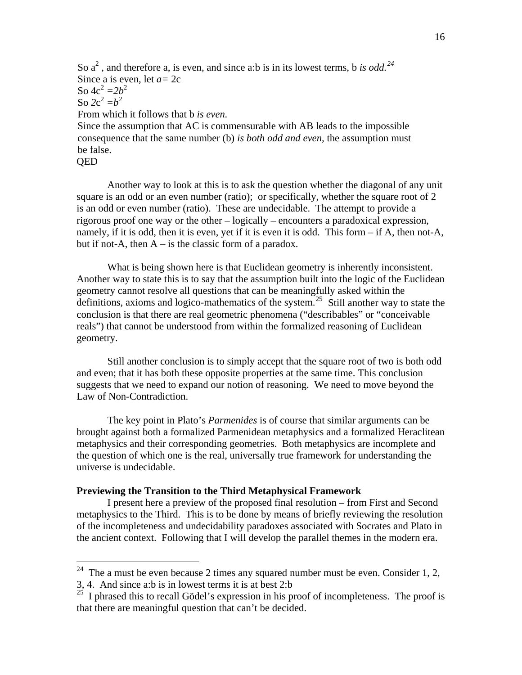So  $a^2$ , and therefore a, is even, and since a:b is in its lowest terms, b is odd.<sup>[24](#page-15-0)</sup> Since a is even, let *a=* 2c So  $4c^2 = 2b^2$ So  $2c^2 = b^2$ From which it follows that b *is even.*  Since the assumption that AC is commensurable with AB leads to the impossible consequence that the same number (b) *is both odd and even,* the assumption must be false.

#### QED

 $\overline{a}$ 

 Another way to look at this is to ask the question whether the diagonal of any unit square is an odd or an even number (ratio); or specifically, whether the square root of 2 is an odd or even number (ratio). These are undecidable. The attempt to provide a rigorous proof one way or the other – logically – encounters a paradoxical expression, namely, if it is odd, then it is even, yet if it is even it is odd. This form – if A, then not-A, but if not-A, then  $A - iS$  the classic form of a paradox.

 What is being shown here is that Euclidean geometry is inherently inconsistent. Another way to state this is to say that the assumption built into the logic of the Euclidean geometry cannot resolve all questions that can be meaningfully asked within the definitions, axioms and logico-mathematics of the system.<sup>[25](#page-15-1)</sup> Still another way to state the conclusion is that there are real geometric phenomena ("describables" or "conceivable reals") that cannot be understood from within the formalized reasoning of Euclidean geometry.

 Still another conclusion is to simply accept that the square root of two is both odd and even; that it has both these opposite properties at the same time. This conclusion suggests that we need to expand our notion of reasoning. We need to move beyond the Law of Non-Contradiction.

 The key point in Plato's *Parmenides* is of course that similar arguments can be brought against both a formalized Parmenidean metaphysics and a formalized Heraclitean metaphysics and their corresponding geometries. Both metaphysics are incomplete and the question of which one is the real, universally true framework for understanding the universe is undecidable.

#### **Previewing the Transition to the Third Metaphysical Framework**

 I present here a preview of the proposed final resolution – from First and Second metaphysics to the Third. This is to be done by means of briefly reviewing the resolution of the incompleteness and undecidability paradoxes associated with Socrates and Plato in the ancient context. Following that I will develop the parallel themes in the modern era.

<span id="page-15-0"></span><sup>&</sup>lt;sup>24</sup> The a must be even because 2 times any squared number must be even. Consider 1, 2,

<sup>3, 4.</sup> And since a:b is in lowest terms it is at best 2:b

<span id="page-15-1"></span> $^{25}$  I phrased this to recall Gödel's expression in his proof of incompleteness. The proof is that there are meaningful question that can't be decided.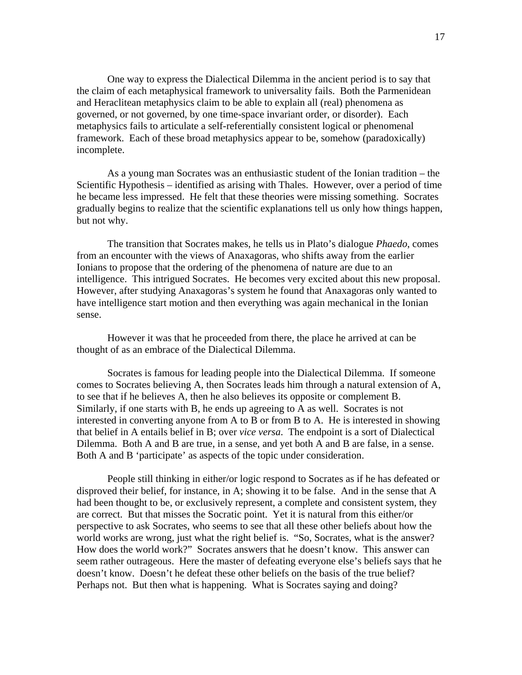One way to express the Dialectical Dilemma in the ancient period is to say that the claim of each metaphysical framework to universality fails. Both the Parmenidean and Heraclitean metaphysics claim to be able to explain all (real) phenomena as governed, or not governed, by one time-space invariant order, or disorder). Each metaphysics fails to articulate a self-referentially consistent logical or phenomenal framework. Each of these broad metaphysics appear to be, somehow (paradoxically) incomplete.

 As a young man Socrates was an enthusiastic student of the Ionian tradition – the Scientific Hypothesis – identified as arising with Thales. However, over a period of time he became less impressed. He felt that these theories were missing something. Socrates gradually begins to realize that the scientific explanations tell us only how things happen, but not why.

 The transition that Socrates makes, he tells us in Plato's dialogue *Phaedo*, comes from an encounter with the views of Anaxagoras, who shifts away from the earlier Ionians to propose that the ordering of the phenomena of nature are due to an intelligence. This intrigued Socrates. He becomes very excited about this new proposal. However, after studying Anaxagoras's system he found that Anaxagoras only wanted to have intelligence start motion and then everything was again mechanical in the Ionian sense.

 However it was that he proceeded from there, the place he arrived at can be thought of as an embrace of the Dialectical Dilemma.

 Socrates is famous for leading people into the Dialectical Dilemma. If someone comes to Socrates believing A, then Socrates leads him through a natural extension of A, to see that if he believes A, then he also believes its opposite or complement B. Similarly, if one starts with B, he ends up agreeing to A as well. Socrates is not interested in converting anyone from A to B or from B to A. He is interested in showing that belief in A entails belief in B; over *vice versa*. The endpoint is a sort of Dialectical Dilemma. Both A and B are true, in a sense, and yet both A and B are false, in a sense. Both A and B 'participate' as aspects of the topic under consideration.

 People still thinking in either/or logic respond to Socrates as if he has defeated or disproved their belief, for instance, in A; showing it to be false. And in the sense that A had been thought to be, or exclusively represent, a complete and consistent system, they are correct. But that misses the Socratic point. Yet it is natural from this either/or perspective to ask Socrates, who seems to see that all these other beliefs about how the world works are wrong, just what the right belief is. "So, Socrates, what is the answer? How does the world work?" Socrates answers that he doesn't know. This answer can seem rather outrageous. Here the master of defeating everyone else's beliefs says that he doesn't know. Doesn't he defeat these other beliefs on the basis of the true belief? Perhaps not. But then what is happening. What is Socrates saying and doing?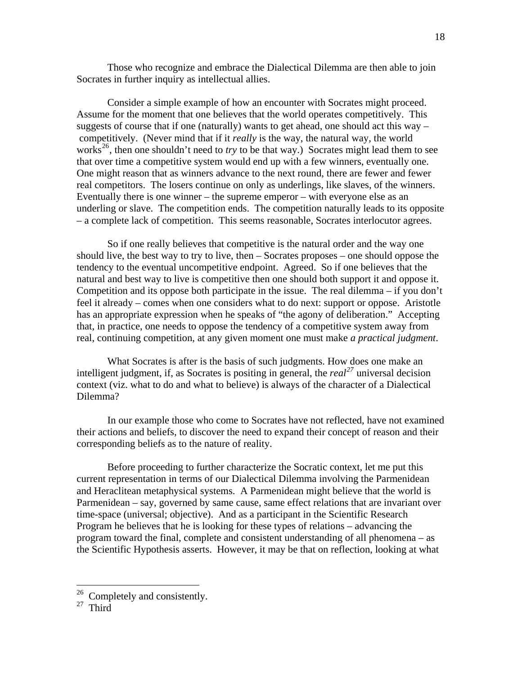Those who recognize and embrace the Dialectical Dilemma are then able to join Socrates in further inquiry as intellectual allies.

 Consider a simple example of how an encounter with Socrates might proceed. Assume for the moment that one believes that the world operates competitively. This suggests of course that if one (naturally) wants to get ahead, one should act this way – competitively. (Never mind that if it *really* is the way, the natural way, the world works<sup>[26](#page-17-0)</sup>, then one shouldn't need to *try* to be that way.) Socrates might lead them to see that over time a competitive system would end up with a few winners, eventually one. One might reason that as winners advance to the next round, there are fewer and fewer real competitors. The losers continue on only as underlings, like slaves, of the winners. Eventually there is one winner – the supreme emperor – with everyone else as an underling or slave. The competition ends. The competition naturally leads to its opposite – a complete lack of competition. This seems reasonable, Socrates interlocutor agrees.

 So if one really believes that competitive is the natural order and the way one should live, the best way to try to live, then – Socrates proposes – one should oppose the tendency to the eventual uncompetitive endpoint. Agreed. So if one believes that the natural and best way to live is competitive then one should both support it and oppose it. Competition and its oppose both participate in the issue. The real dilemma – if you don't feel it already – comes when one considers what to do next: support or oppose. Aristotle has an appropriate expression when he speaks of "the agony of deliberation." Accepting that, in practice, one needs to oppose the tendency of a competitive system away from real, continuing competition, at any given moment one must make *a practical judgment*.

 What Socrates is after is the basis of such judgments. How does one make an intelligent judgment, if, as Socrates is positing in general, the *real[27](#page-17-1)* universal decision context (viz. what to do and what to believe) is always of the character of a Dialectical Dilemma?

 In our example those who come to Socrates have not reflected, have not examined their actions and beliefs, to discover the need to expand their concept of reason and their corresponding beliefs as to the nature of reality.

 Before proceeding to further characterize the Socratic context, let me put this current representation in terms of our Dialectical Dilemma involving the Parmenidean and Heraclitean metaphysical systems. A Parmenidean might believe that the world is Parmenidean – say, governed by same cause, same effect relations that are invariant over time-space (universal; objective). And as a participant in the Scientific Research Program he believes that he is looking for these types of relations – advancing the program toward the final, complete and consistent understanding of all phenomena – as the Scientific Hypothesis asserts. However, it may be that on reflection, looking at what

 $26$  Completely and consistently.

<span id="page-17-1"></span><span id="page-17-0"></span> $27$  Third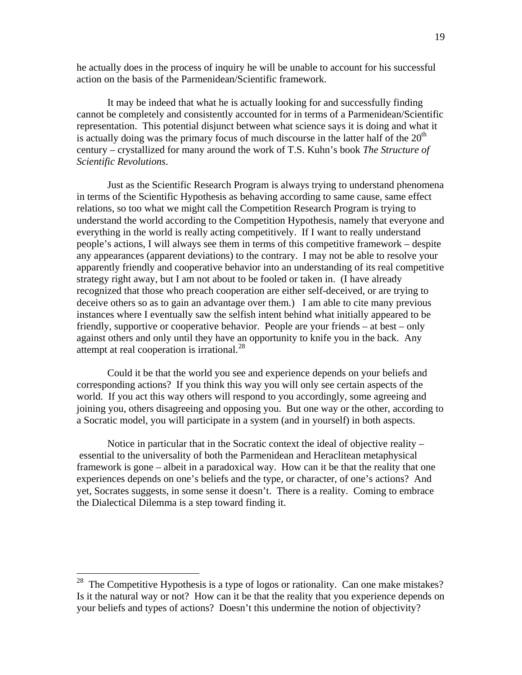he actually does in the process of inquiry he will be unable to account for his successful action on the basis of the Parmenidean/Scientific framework.

 It may be indeed that what he is actually looking for and successfully finding cannot be completely and consistently accounted for in terms of a Parmenidean/Scientific representation. This potential disjunct between what science says it is doing and what it is actually doing was the primary focus of much discourse in the latter half of the  $20<sup>th</sup>$ century – crystallized for many around the work of T.S. Kuhn's book *The Structure of Scientific Revolutions*.

 Just as the Scientific Research Program is always trying to understand phenomena in terms of the Scientific Hypothesis as behaving according to same cause, same effect relations, so too what we might call the Competition Research Program is trying to understand the world according to the Competition Hypothesis, namely that everyone and everything in the world is really acting competitively. If I want to really understand people's actions, I will always see them in terms of this competitive framework – despite any appearances (apparent deviations) to the contrary. I may not be able to resolve your apparently friendly and cooperative behavior into an understanding of its real competitive strategy right away, but I am not about to be fooled or taken in. (I have already recognized that those who preach cooperation are either self-deceived, or are trying to deceive others so as to gain an advantage over them.) I am able to cite many previous instances where I eventually saw the selfish intent behind what initially appeared to be friendly, supportive or cooperative behavior. People are your friends – at best – only against others and only until they have an opportunity to knife you in the back. Any attempt at real cooperation is irrational. $^{28}$  $^{28}$  $^{28}$ 

 Could it be that the world you see and experience depends on your beliefs and corresponding actions? If you think this way you will only see certain aspects of the world. If you act this way others will respond to you accordingly, some agreeing and joining you, others disagreeing and opposing you. But one way or the other, according to a Socratic model, you will participate in a system (and in yourself) in both aspects.

 Notice in particular that in the Socratic context the ideal of objective reality – essential to the universality of both the Parmenidean and Heraclitean metaphysical framework is gone – albeit in a paradoxical way. How can it be that the reality that one experiences depends on one's beliefs and the type, or character, of one's actions? And yet, Socrates suggests, in some sense it doesn't. There is a reality. Coming to embrace the Dialectical Dilemma is a step toward finding it.

<span id="page-18-0"></span><sup>&</sup>lt;sup>28</sup> The Competitive Hypothesis is a type of logos or rationality. Can one make mistakes? Is it the natural way or not? How can it be that the reality that you experience depends on your beliefs and types of actions? Doesn't this undermine the notion of objectivity?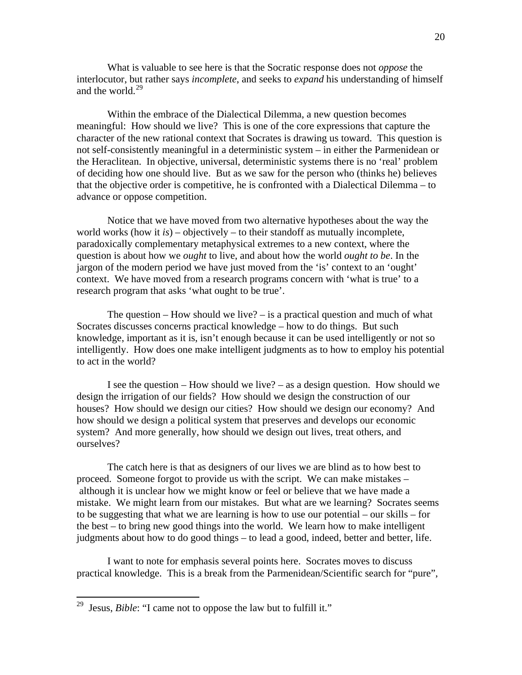What is valuable to see here is that the Socratic response does not *oppose* the interlocutor, but rather says *incomplete*, and seeks to *expand* his understanding of himself and the world.<sup>[29](#page-19-0)</sup>

 Within the embrace of the Dialectical Dilemma, a new question becomes meaningful: How should we live? This is one of the core expressions that capture the character of the new rational context that Socrates is drawing us toward. This question is not self-consistently meaningful in a deterministic system – in either the Parmenidean or the Heraclitean. In objective, universal, deterministic systems there is no 'real' problem of deciding how one should live. But as we saw for the person who (thinks he) believes that the objective order is competitive, he is confronted with a Dialectical Dilemma – to advance or oppose competition.

 Notice that we have moved from two alternative hypotheses about the way the world works (how it *is*) – objectively – to their standoff as mutually incomplete, paradoxically complementary metaphysical extremes to a new context, where the question is about how we *ought* to live, and about how the world *ought to be*. In the jargon of the modern period we have just moved from the 'is' context to an 'ought' context. We have moved from a research programs concern with 'what is true' to a research program that asks 'what ought to be true'.

The question  $-$  How should we live?  $-$  is a practical question and much of what Socrates discusses concerns practical knowledge – how to do things. But such knowledge, important as it is, isn't enough because it can be used intelligently or not so intelligently. How does one make intelligent judgments as to how to employ his potential to act in the world?

 I see the question – How should we live? – as a design question. How should we design the irrigation of our fields? How should we design the construction of our houses? How should we design our cities? How should we design our economy? And how should we design a political system that preserves and develops our economic system? And more generally, how should we design out lives, treat others, and ourselves?

 The catch here is that as designers of our lives we are blind as to how best to proceed. Someone forgot to provide us with the script. We can make mistakes – although it is unclear how we might know or feel or believe that we have made a mistake. We might learn from our mistakes. But what are we learning? Socrates seems to be suggesting that what we are learning is how to use our potential – our skills – for the best – to bring new good things into the world. We learn how to make intelligent judgments about how to do good things – to lead a good, indeed, better and better, life.

 I want to note for emphasis several points here. Socrates moves to discuss practical knowledge. This is a break from the Parmenidean/Scientific search for "pure",

<span id="page-19-0"></span><sup>29</sup> Jesus, *Bible*: "I came not to oppose the law but to fulfill it."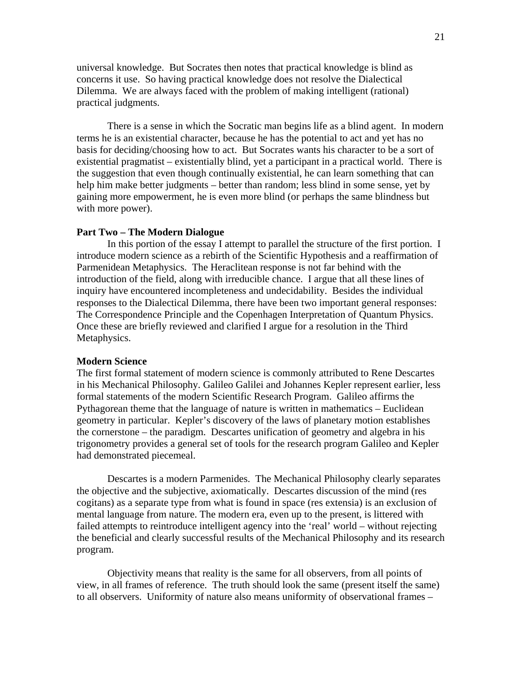universal knowledge. But Socrates then notes that practical knowledge is blind as concerns it use. So having practical knowledge does not resolve the Dialectical Dilemma. We are always faced with the problem of making intelligent (rational) practical judgments.

 There is a sense in which the Socratic man begins life as a blind agent. In modern terms he is an existential character, because he has the potential to act and yet has no basis for deciding/choosing how to act. But Socrates wants his character to be a sort of existential pragmatist – existentially blind, yet a participant in a practical world. There is the suggestion that even though continually existential, he can learn something that can help him make better judgments – better than random; less blind in some sense, yet by gaining more empowerment, he is even more blind (or perhaps the same blindness but with more power).

#### **Part Two – The Modern Dialogue**

 In this portion of the essay I attempt to parallel the structure of the first portion. I introduce modern science as a rebirth of the Scientific Hypothesis and a reaffirmation of Parmenidean Metaphysics. The Heraclitean response is not far behind with the introduction of the field, along with irreducible chance. I argue that all these lines of inquiry have encountered incompleteness and undecidability. Besides the individual responses to the Dialectical Dilemma, there have been two important general responses: The Correspondence Principle and the Copenhagen Interpretation of Quantum Physics. Once these are briefly reviewed and clarified I argue for a resolution in the Third Metaphysics.

# **Modern Science**

The first formal statement of modern science is commonly attributed to Rene Descartes in his Mechanical Philosophy. Galileo Galilei and Johannes Kepler represent earlier, less formal statements of the modern Scientific Research Program. Galileo affirms the Pythagorean theme that the language of nature is written in mathematics – Euclidean geometry in particular. Kepler's discovery of the laws of planetary motion establishes the cornerstone – the paradigm. Descartes unification of geometry and algebra in his trigonometry provides a general set of tools for the research program Galileo and Kepler had demonstrated piecemeal.

 Descartes is a modern Parmenides. The Mechanical Philosophy clearly separates the objective and the subjective, axiomatically. Descartes discussion of the mind (res cogitans) as a separate type from what is found in space (res extensia) is an exclusion of mental language from nature. The modern era, even up to the present, is littered with failed attempts to reintroduce intelligent agency into the 'real' world – without rejecting the beneficial and clearly successful results of the Mechanical Philosophy and its research program.

 Objectivity means that reality is the same for all observers, from all points of view, in all frames of reference. The truth should look the same (present itself the same) to all observers. Uniformity of nature also means uniformity of observational frames –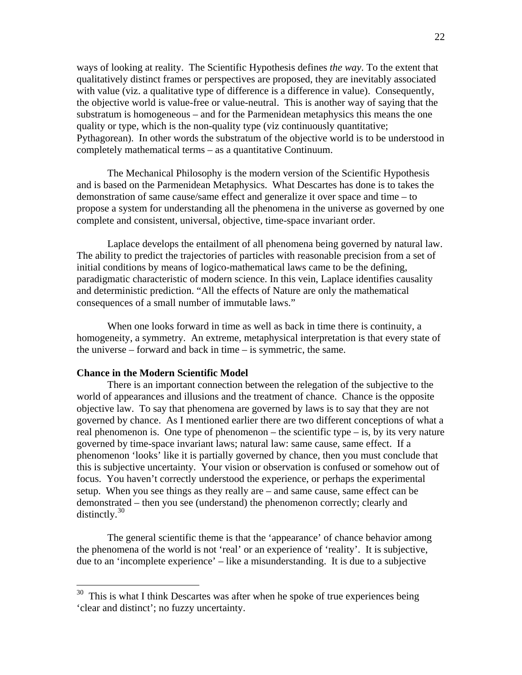ways of looking at reality. The Scientific Hypothesis defines *the way*. To the extent that qualitatively distinct frames or perspectives are proposed, they are inevitably associated with value (viz. a qualitative type of difference is a difference in value). Consequently, the objective world is value-free or value-neutral. This is another way of saying that the substratum is homogeneous – and for the Parmenidean metaphysics this means the one quality or type, which is the non-quality type (viz continuously quantitative; Pythagorean). In other words the substratum of the objective world is to be understood in completely mathematical terms – as a quantitative Continuum.

 The Mechanical Philosophy is the modern version of the Scientific Hypothesis and is based on the Parmenidean Metaphysics. What Descartes has done is to takes the demonstration of same cause/same effect and generalize it over space and time – to propose a system for understanding all the phenomena in the universe as governed by one complete and consistent, universal, objective, time-space invariant order.

 Laplace develops the entailment of all phenomena being governed by natural law. The ability to predict the trajectories of particles with reasonable precision from a set of initial conditions by means of logico-mathematical laws came to be the defining, paradigmatic characteristic of modern science. In this vein, Laplace identifies causality and deterministic prediction. "All the effects of Nature are only the mathematical consequences of a small number of immutable laws."

 When one looks forward in time as well as back in time there is continuity, a homogeneity, a symmetry. An extreme, metaphysical interpretation is that every state of the universe – forward and back in time – is symmetric, the same.

#### **Chance in the Modern Scientific Model**

 $\overline{a}$ 

 There is an important connection between the relegation of the subjective to the world of appearances and illusions and the treatment of chance. Chance is the opposite objective law. To say that phenomena are governed by laws is to say that they are not governed by chance. As I mentioned earlier there are two different conceptions of what a real phenomenon is. One type of phenomenon – the scientific type – is, by its very nature governed by time-space invariant laws; natural law: same cause, same effect. If a phenomenon 'looks' like it is partially governed by chance, then you must conclude that this is subjective uncertainty. Your vision or observation is confused or somehow out of focus. You haven't correctly understood the experience, or perhaps the experimental setup. When you see things as they really are – and same cause, same effect can be demonstrated – then you see (understand) the phenomenon correctly; clearly and distinctly. $30$ 

 The general scientific theme is that the 'appearance' of chance behavior among the phenomena of the world is not 'real' or an experience of 'reality'. It is subjective, due to an 'incomplete experience' – like a misunderstanding. It is due to a subjective

<span id="page-21-0"></span> $30$  This is what I think Descartes was after when he spoke of true experiences being 'clear and distinct'; no fuzzy uncertainty.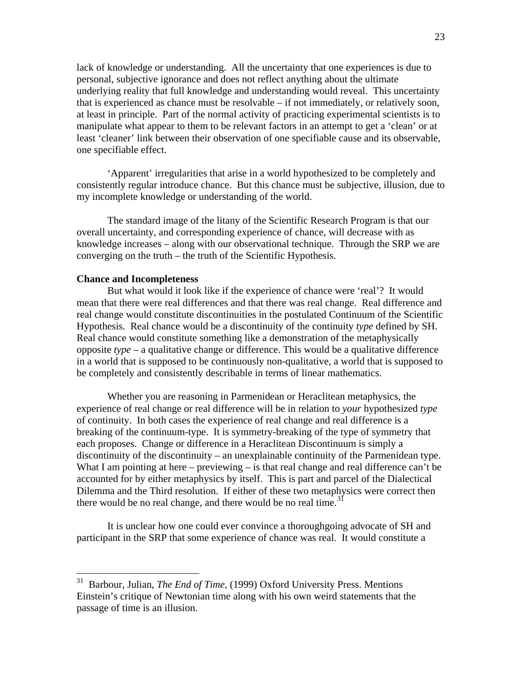lack of knowledge or understanding. All the uncertainty that one experiences is due to personal, subjective ignorance and does not reflect anything about the ultimate underlying reality that full knowledge and understanding would reveal. This uncertainty that is experienced as chance must be resolvable – if not immediately, or relatively soon, at least in principle. Part of the normal activity of practicing experimental scientists is to manipulate what appear to them to be relevant factors in an attempt to get a 'clean' or at least 'cleaner' link between their observation of one specifiable cause and its observable, one specifiable effect.

 'Apparent' irregularities that arise in a world hypothesized to be completely and consistently regular introduce chance. But this chance must be subjective, illusion, due to my incomplete knowledge or understanding of the world.

 The standard image of the litany of the Scientific Research Program is that our overall uncertainty, and corresponding experience of chance, will decrease with as knowledge increases – along with our observational technique. Through the SRP we are converging on the truth – the truth of the Scientific Hypothesis.

### **Chance and Incompleteness**

 $\overline{a}$ 

 But what would it look like if the experience of chance were 'real'? It would mean that there were real differences and that there was real change. Real difference and real change would constitute discontinuities in the postulated Continuum of the Scientific Hypothesis. Real chance would be a discontinuity of the continuity *type* defined by SH. Real chance would constitute something like a demonstration of the metaphysically opposite *type* – a qualitative change or difference. This would be a qualitative difference in a world that is supposed to be continuously non-qualitative, a world that is supposed to be completely and consistently describable in terms of linear mathematics.

 Whether you are reasoning in Parmenidean or Heraclitean metaphysics, the experience of real change or real difference will be in relation to *your* hypothesized *type* of continuity. In both cases the experience of real change and real difference is a breaking of the continuum-type. It is symmetry-breaking of the type of symmetry that each proposes. Change or difference in a Heraclitean Discontinuum is simply a discontinuity of the discontinuity – an unexplainable continuity of the Parmenidean type. What I am pointing at here – previewing – is that real change and real difference can't be accounted for by either metaphysics by itself. This is part and parcel of the Dialectical Dilemma and the Third resolution. If either of these two metaphysics were correct then there would be no real change, and there would be no real time.<sup>[31](#page-22-0)</sup>

 It is unclear how one could ever convince a thoroughgoing advocate of SH and participant in the SRP that some experience of chance was real. It would constitute a

<span id="page-22-0"></span><sup>31</sup> Barbour, Julian, *The End of Time*, (1999) Oxford University Press. Mentions Einstein's critique of Newtonian time along with his own weird statements that the passage of time is an illusion.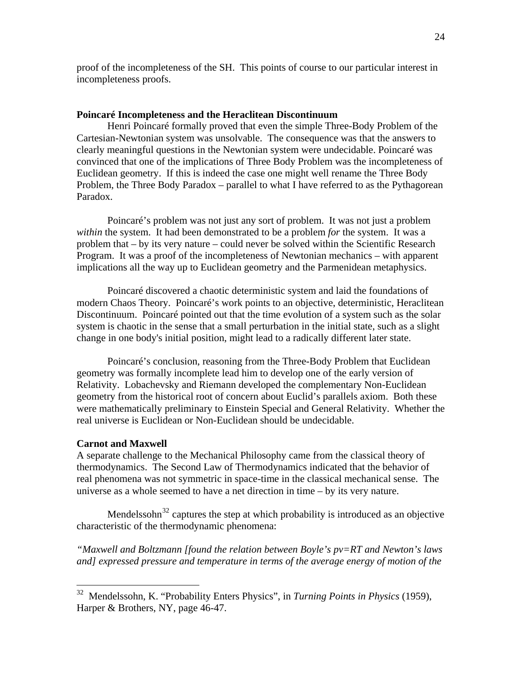proof of the incompleteness of the SH. This points of course to our particular interest in incompleteness proofs.

## **Poincaré Incompleteness and the Heraclitean Discontinuum**

 Henri Poincaré formally proved that even the simple Three-Body Problem of the Cartesian-Newtonian system was unsolvable. The consequence was that the answers to clearly meaningful questions in the Newtonian system were undecidable. Poincaré was convinced that one of the implications of Three Body Problem was the incompleteness of Euclidean geometry. If this is indeed the case one might well rename the Three Body Problem, the Three Body Paradox – parallel to what I have referred to as the Pythagorean Paradox.

 Poincaré's problem was not just any sort of problem. It was not just a problem *within* the system. It had been demonstrated to be a problem *for* the system. It was a problem that – by its very nature – could never be solved within the Scientific Research Program. It was a proof of the incompleteness of Newtonian mechanics – with apparent implications all the way up to Euclidean geometry and the Parmenidean metaphysics.

 Poincaré discovered a chaotic deterministic system and laid the foundations of modern Chaos Theory. Poincaré's work points to an objective, deterministic, Heraclitean Discontinuum. Poincaré pointed out that the time evolution of a system such as the solar system is chaotic in the sense that a small perturbation in the initial state, such as a slight change in one body's initial position, might lead to a radically different later state.

 Poincaré's conclusion, reasoning from the Three-Body Problem that Euclidean geometry was formally incomplete lead him to develop one of the early version of Relativity. Lobachevsky and Riemann developed the complementary Non-Euclidean geometry from the historical root of concern about Euclid's parallels axiom. Both these were mathematically preliminary to Einstein Special and General Relativity. Whether the real universe is Euclidean or Non-Euclidean should be undecidable.

## **Carnot and Maxwell**

 $\overline{a}$ 

A separate challenge to the Mechanical Philosophy came from the classical theory of thermodynamics. The Second Law of Thermodynamics indicated that the behavior of real phenomena was not symmetric in space-time in the classical mechanical sense. The universe as a whole seemed to have a net direction in time – by its very nature.

Mendelssohn<sup>[32](#page-23-0)</sup> captures the step at which probability is introduced as an objective characteristic of the thermodynamic phenomena:

*"Maxwell and Boltzmann [found the relation between Boyle's pv=RT and Newton's laws and] expressed pressure and temperature in terms of the average energy of motion of the* 

<span id="page-23-0"></span><sup>32</sup> Mendelssohn, K. "Probability Enters Physics", in *Turning Points in Physics* (1959), Harper & Brothers, NY, page 46-47.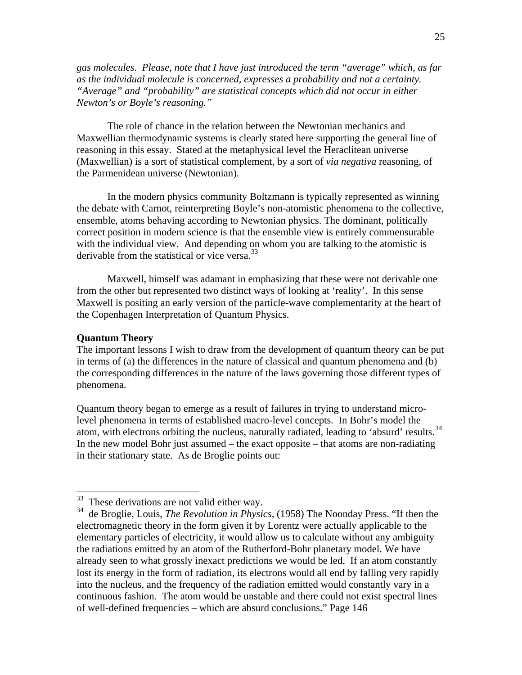*gas molecules. Please, note that I have just introduced the term "average" which, as far as the individual molecule is concerned, expresses a probability and not a certainty. "Average" and "probability" are statistical concepts which did not occur in either Newton's or Boyle's reasoning."* 

 The role of chance in the relation between the Newtonian mechanics and Maxwellian thermodynamic systems is clearly stated here supporting the general line of reasoning in this essay. Stated at the metaphysical level the Heraclitean universe (Maxwellian) is a sort of statistical complement, by a sort of *via negativa* reasoning, of the Parmenidean universe (Newtonian).

 In the modern physics community Boltzmann is typically represented as winning the debate with Carnot, reinterpreting Boyle's non-atomistic phenomena to the collective, ensemble, atoms behaving according to Newtonian physics. The dominant, politically correct position in modern science is that the ensemble view is entirely commensurable with the individual view. And depending on whom you are talking to the atomistic is derivable from the statistical or vice versa.<sup>[33](#page-24-0)</sup>

 Maxwell, himself was adamant in emphasizing that these were not derivable one from the other but represented two distinct ways of looking at 'reality'. In this sense Maxwell is positing an early version of the particle-wave complementarity at the heart of the Copenhagen Interpretation of Quantum Physics.

## **Quantum Theory**

1

The important lessons I wish to draw from the development of quantum theory can be put in terms of (a) the differences in the nature of classical and quantum phenomena and (b) the corresponding differences in the nature of the laws governing those different types of phenomena.

Quantum theory began to emerge as a result of failures in trying to understand microlevel phenomena in terms of established macro-level concepts. In Bohr's model the atom, with electrons orbiting the nucleus, naturally radiated, leading to 'absurd' results.<sup>[34](#page-24-1)</sup> In the new model Bohr just assumed – the exact opposite – that atoms are non-radiating in their stationary state. As de Broglie points out:

 $33$  These derivations are not valid either way.

<span id="page-24-1"></span><span id="page-24-0"></span><sup>34</sup> de Broglie, Louis, *The Revolution in Physics*, (1958) The Noonday Press. "If then the electromagnetic theory in the form given it by Lorentz were actually applicable to the elementary particles of electricity, it would allow us to calculate without any ambiguity the radiations emitted by an atom of the Rutherford-Bohr planetary model. We have already seen to what grossly inexact predictions we would be led. If an atom constantly lost its energy in the form of radiation, its electrons would all end by falling very rapidly into the nucleus, and the frequency of the radiation emitted would constantly vary in a continuous fashion. The atom would be unstable and there could not exist spectral lines of well-defined frequencies – which are absurd conclusions." Page 146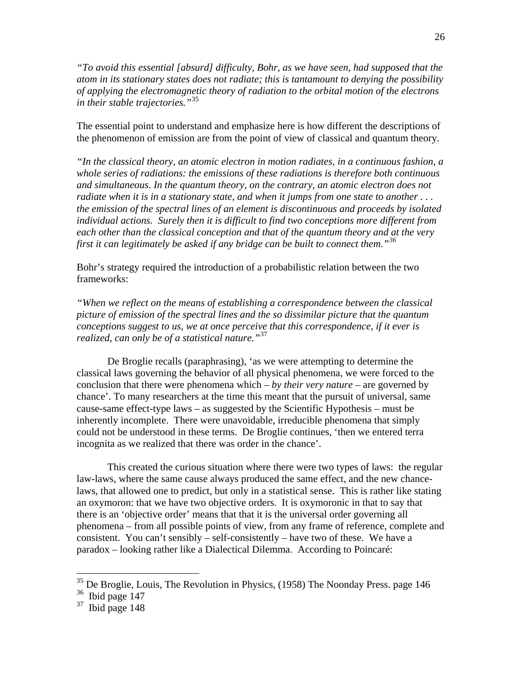*"To avoid this essential [absurd] difficulty, Bohr, as we have seen, had supposed that the atom in its stationary states does not radiate; this is tantamount to denying the possibility of applying the electromagnetic theory of radiation to the orbital motion of the electrons in their stable trajectories."*[35](#page-25-0)

The essential point to understand and emphasize here is how different the descriptions of the phenomenon of emission are from the point of view of classical and quantum theory.

*"In the classical theory, an atomic electron in motion radiates, in a continuous fashion, a whole series of radiations: the emissions of these radiations is therefore both continuous and simultaneous. In the quantum theory, on the contrary, an atomic electron does not radiate when it is in a stationary state, and when it jumps from one state to another . . . the emission of the spectral lines of an element is discontinuous and proceeds by isolated individual actions. Surely then it is difficult to find two conceptions more different from each other than the classical conception and that of the quantum theory and at the very first it can legitimately be asked if any bridge can be built to connect them."[36](#page-25-1)*

Bohr's strategy required the introduction of a probabilistic relation between the two frameworks:

*"When we reflect on the means of establishing a correspondence between the classical picture of emission of the spectral lines and the so dissimilar picture that the quantum conceptions suggest to us, we at once perceive that this correspondence, if it ever is realized, can only be of a statistical nature."*[37](#page-25-2)

 De Broglie recalls (paraphrasing), 'as we were attempting to determine the classical laws governing the behavior of all physical phenomena, we were forced to the conclusion that there were phenomena which – *by their very nature* – are governed by chance'. To many researchers at the time this meant that the pursuit of universal, same cause-same effect-type laws – as suggested by the Scientific Hypothesis – must be inherently incomplete. There were unavoidable, irreducible phenomena that simply could not be understood in these terms. De Broglie continues, 'then we entered terra incognita as we realized that there was order in the chance'.

 This created the curious situation where there were two types of laws: the regular law-laws, where the same cause always produced the same effect, and the new chancelaws, that allowed one to predict, but only in a statistical sense. This is rather like stating an oxymoron: that we have two objective orders. It is oxymoronic in that to say that there is an 'objective order' means that that it is the universal order governing all phenomena – from all possible points of view, from any frame of reference, complete and consistent. You can't sensibly – self-consistently – have two of these. We have a paradox – looking rather like a Dialectical Dilemma. According to Poincaré:

<span id="page-25-0"></span> $35$  De Broglie, Louis, The Revolution in Physics, (1958) The Noonday Press. page 146

<span id="page-25-1"></span> $36$  Ibid page 147

<span id="page-25-2"></span> $37$  Ibid page 148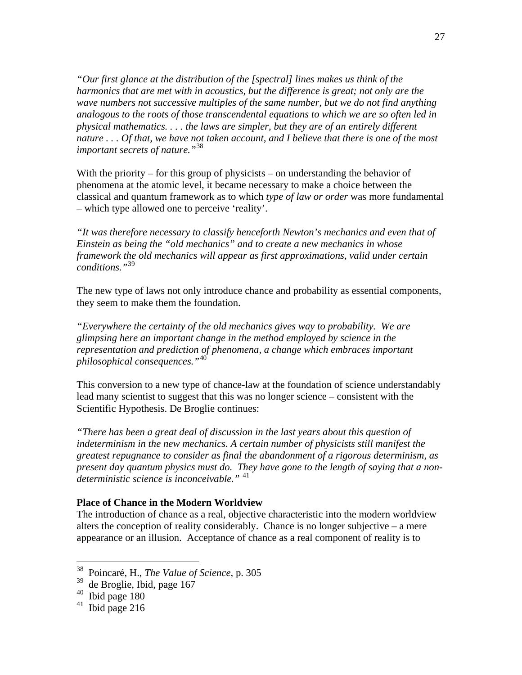*"Our first glance at the distribution of the [spectral] lines makes us think of the harmonics that are met with in acoustics, but the difference is great; not only are the wave numbers not successive multiples of the same number, but we do not find anything analogous to the roots of those transcendental equations to which we are so often led in physical mathematics. . . . the laws are simpler, but they are of an entirely different nature . . . Of that, we have not taken account, and I believe that there is one of the most important secrets of nature."*[38](#page-26-0)

With the priority – for this group of physicists – on understanding the behavior of phenomena at the atomic level, it became necessary to make a choice between the classical and quantum framework as to which *type of law or order* was more fundamental – which type allowed one to perceive 'reality'.

*"It was therefore necessary to classify henceforth Newton's mechanics and even that of Einstein as being the "old mechanics" and to create a new mechanics in whose framework the old mechanics will appear as first approximations, valid under certain conditions."*[39](#page-26-1)

The new type of laws not only introduce chance and probability as essential components, they seem to make them the foundation.

*"Everywhere the certainty of the old mechanics gives way to probability. We are glimpsing here an important change in the method employed by science in the representation and prediction of phenomena, a change which embraces important philosophical consequences."*[40](#page-26-2)

This conversion to a new type of chance-law at the foundation of science understandably lead many scientist to suggest that this was no longer science – consistent with the Scientific Hypothesis. De Broglie continues:

*"There has been a great deal of discussion in the last years about this question of indeterminism in the new mechanics. A certain number of physicists still manifest the greatest repugnance to consider as final the abandonment of a rigorous determinism, as present day quantum physics must do. They have gone to the length of saying that a nondeterministic science is inconceivable."* [41](#page-26-3)

# **Place of Chance in the Modern Worldview**

The introduction of chance as a real, objective characteristic into the modern worldview alters the conception of reality considerably. Chance is no longer subjective – a mere appearance or an illusion. Acceptance of chance as a real component of reality is to

<span id="page-26-0"></span><sup>38</sup> Poincaré, H., *The Value of Science*, p. 305

<span id="page-26-1"></span> $39$  de Broglie, Ibid, page 167

<span id="page-26-2"></span> $40$  Ibid page 180

<span id="page-26-3"></span> $41$  Ibid page 216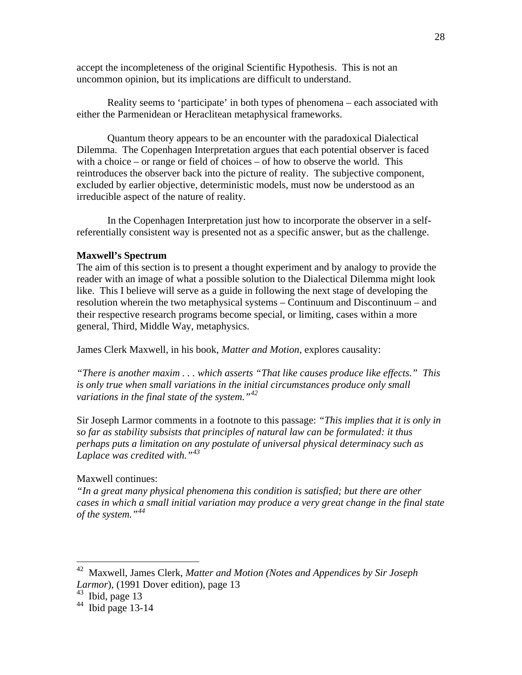accept the incompleteness of the original Scientific Hypothesis. This is not an uncommon opinion, but its implications are difficult to understand.

 Reality seems to 'participate' in both types of phenomena – each associated with either the Parmenidean or Heraclitean metaphysical frameworks.

 Quantum theory appears to be an encounter with the paradoxical Dialectical Dilemma. The Copenhagen Interpretation argues that each potential observer is faced with a choice – or range or field of choices – of how to observe the world. This reintroduces the observer back into the picture of reality. The subjective component, excluded by earlier objective, deterministic models, must now be understood as an irreducible aspect of the nature of reality.

 In the Copenhagen Interpretation just how to incorporate the observer in a selfreferentially consistent way is presented not as a specific answer, but as the challenge.

# **Maxwell's Spectrum**

The aim of this section is to present a thought experiment and by analogy to provide the reader with an image of what a possible solution to the Dialectical Dilemma might look like. This I believe will serve as a guide in following the next stage of developing the resolution wherein the two metaphysical systems – Continuum and Discontinuum – and their respective research programs become special, or limiting, cases within a more general, Third, Middle Way, metaphysics.

James Clerk Maxwell, in his book, *Matter and Motion*, explores causality:

*"There is another maxim . . . which asserts "That like causes produce like effects." This is only true when small variations in the initial circumstances produce only small variations in the final state of the system."[42](#page-27-0)*

Sir Joseph Larmor comments in a footnote to this passage: *"This implies that it is only in so far as stability subsists that principles of natural law can be formulated: it thus perhaps puts a limitation on any postulate of universal physical determinacy such as Laplace was credited with."[43](#page-27-1)*

# Maxwell continues:

*"In a great many physical phenomena this condition is satisfied; but there are other cases in which a small initial variation may produce a very great change in the final state of the system."[44](#page-27-2)*

<span id="page-27-0"></span><sup>42</sup> Maxwell, James Clerk, *Matter and Motion (Notes and Appendices by Sir Joseph Larmor*), (1991 Dover edition), page 13

<span id="page-27-1"></span> $43$  Ibid, page 13

<span id="page-27-2"></span> $44$  Ibid page 13-14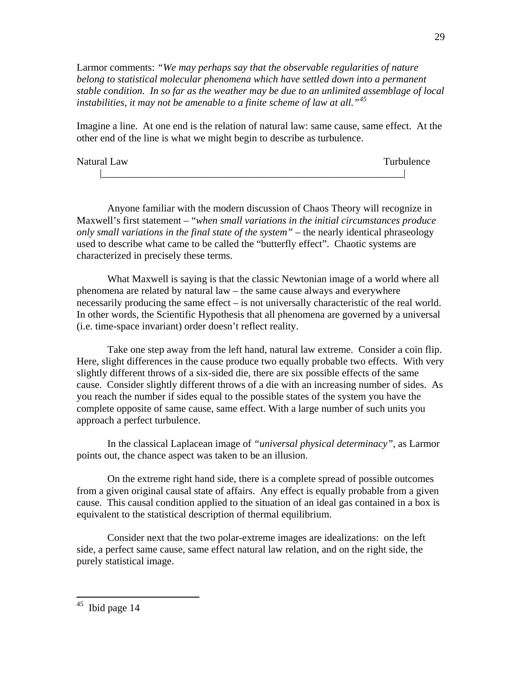Larmor comments: *"We may perhaps say that the observable regularities of nature belong to statistical molecular phenomena which have settled down into a permanent stable condition. In so far as the weather may be due to an unlimited assemblage of local instabilities, it may not be amenable to a finite scheme of law at all."[45](#page-28-0)*

Imagine a line. At one end is the relation of natural law: same cause, same effect. At the other end of the line is what we might begin to describe as turbulence.

| Natural Law | Turbulence |
|-------------|------------|
|             |            |

 Anyone familiar with the modern discussion of Chaos Theory will recognize in Maxwell's first statement – "*when small variations in the initial circumstances produce only small variations in the final state of the system"* – the nearly identical phraseology used to describe what came to be called the "butterfly effect". Chaotic systems are characterized in precisely these terms.

 What Maxwell is saying is that the classic Newtonian image of a world where all phenomena are related by natural law – the same cause always and everywhere necessarily producing the same effect – is not universally characteristic of the real world. In other words, the Scientific Hypothesis that all phenomena are governed by a universal (i.e. time-space invariant) order doesn't reflect reality.

 Take one step away from the left hand, natural law extreme. Consider a coin flip. Here, slight differences in the cause produce two equally probable two effects. With very slightly different throws of a six-sided die, there are six possible effects of the same cause. Consider slightly different throws of a die with an increasing number of sides. As you reach the number if sides equal to the possible states of the system you have the complete opposite of same cause, same effect. With a large number of such units you approach a perfect turbulence.

 In the classical Laplacean image of *"universal physical determinacy"*, as Larmor points out, the chance aspect was taken to be an illusion.

 On the extreme right hand side, there is a complete spread of possible outcomes from a given original causal state of affairs. Any effect is equally probable from a given cause. This causal condition applied to the situation of an ideal gas contained in a box is equivalent to the statistical description of thermal equilibrium.

<span id="page-28-0"></span> Consider next that the two polar-extreme images are idealizations: on the left side, a perfect same cause, same effect natural law relation, and on the right side, the purely statistical image.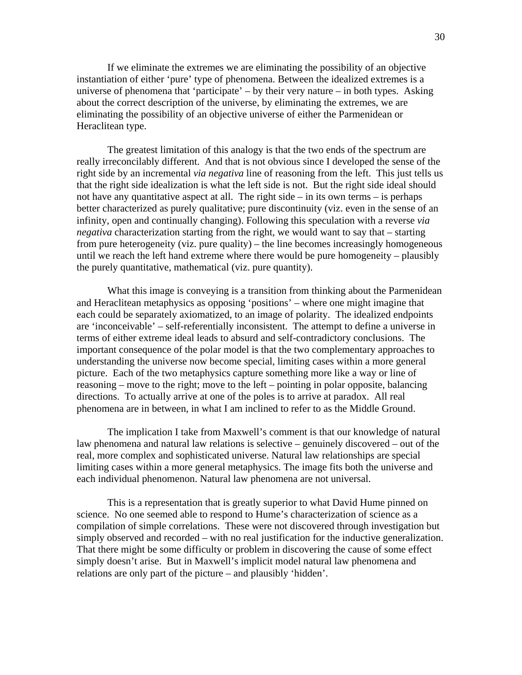If we eliminate the extremes we are eliminating the possibility of an objective instantiation of either 'pure' type of phenomena. Between the idealized extremes is a universe of phenomena that 'participate' – by their very nature – in both types. Asking about the correct description of the universe, by eliminating the extremes, we are eliminating the possibility of an objective universe of either the Parmenidean or Heraclitean type.

 The greatest limitation of this analogy is that the two ends of the spectrum are really irreconcilably different. And that is not obvious since I developed the sense of the right side by an incremental *via negativa* line of reasoning from the left. This just tells us that the right side idealization is what the left side is not. But the right side ideal should not have any quantitative aspect at all. The right side – in its own terms – is perhaps better characterized as purely qualitative; pure discontinuity (viz. even in the sense of an infinity, open and continually changing). Following this speculation with a reverse *via negativa* characterization starting from the right, we would want to say that – starting from pure heterogeneity (viz. pure quality) – the line becomes increasingly homogeneous until we reach the left hand extreme where there would be pure homogeneity – plausibly the purely quantitative, mathematical (viz. pure quantity).

 What this image is conveying is a transition from thinking about the Parmenidean and Heraclitean metaphysics as opposing 'positions' – where one might imagine that each could be separately axiomatized, to an image of polarity. The idealized endpoints are 'inconceivable' – self-referentially inconsistent. The attempt to define a universe in terms of either extreme ideal leads to absurd and self-contradictory conclusions. The important consequence of the polar model is that the two complementary approaches to understanding the universe now become special, limiting cases within a more general picture. Each of the two metaphysics capture something more like a way or line of reasoning – move to the right; move to the left – pointing in polar opposite, balancing directions. To actually arrive at one of the poles is to arrive at paradox. All real phenomena are in between, in what I am inclined to refer to as the Middle Ground.

 The implication I take from Maxwell's comment is that our knowledge of natural law phenomena and natural law relations is selective – genuinely discovered – out of the real, more complex and sophisticated universe. Natural law relationships are special limiting cases within a more general metaphysics. The image fits both the universe and each individual phenomenon. Natural law phenomena are not universal.

 This is a representation that is greatly superior to what David Hume pinned on science. No one seemed able to respond to Hume's characterization of science as a compilation of simple correlations. These were not discovered through investigation but simply observed and recorded – with no real justification for the inductive generalization. That there might be some difficulty or problem in discovering the cause of some effect simply doesn't arise. But in Maxwell's implicit model natural law phenomena and relations are only part of the picture – and plausibly 'hidden'.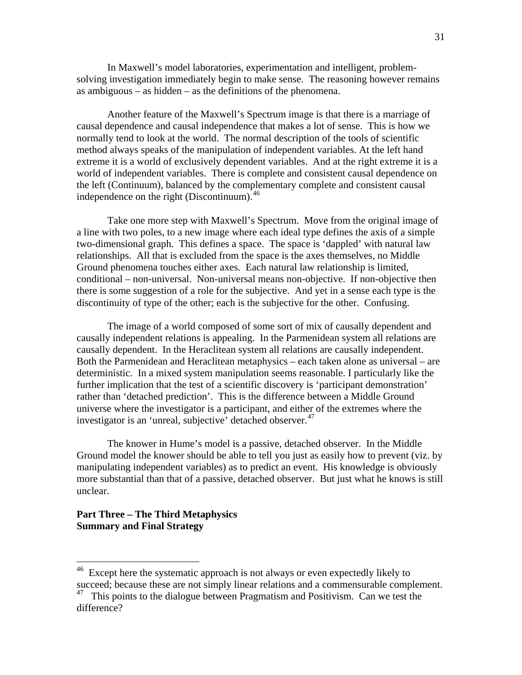In Maxwell's model laboratories, experimentation and intelligent, problemsolving investigation immediately begin to make sense. The reasoning however remains as ambiguous – as hidden – as the definitions of the phenomena.

 Another feature of the Maxwell's Spectrum image is that there is a marriage of causal dependence and causal independence that makes a lot of sense. This is how we normally tend to look at the world. The normal description of the tools of scientific method always speaks of the manipulation of independent variables. At the left hand extreme it is a world of exclusively dependent variables. And at the right extreme it is a world of independent variables. There is complete and consistent causal dependence on the left (Continuum), balanced by the complementary complete and consistent causal independence on the right (Discontinuum). $^{46}$  $^{46}$  $^{46}$ 

 Take one more step with Maxwell's Spectrum. Move from the original image of a line with two poles, to a new image where each ideal type defines the axis of a simple two-dimensional graph. This defines a space. The space is 'dappled' with natural law relationships. All that is excluded from the space is the axes themselves, no Middle Ground phenomena touches either axes. Each natural law relationship is limited, conditional – non-universal. Non-universal means non-objective. If non-objective then there is some suggestion of a role for the subjective. And yet in a sense each type is the discontinuity of type of the other; each is the subjective for the other. Confusing.

 The image of a world composed of some sort of mix of causally dependent and causally independent relations is appealing. In the Parmenidean system all relations are causally dependent. In the Heraclitean system all relations are causally independent. Both the Parmenidean and Heraclitean metaphysics – each taken alone as universal – are deterministic. In a mixed system manipulation seems reasonable. I particularly like the further implication that the test of a scientific discovery is 'participant demonstration' rather than 'detached prediction'. This is the difference between a Middle Ground universe where the investigator is a participant, and either of the extremes where the investigator is an 'unreal, subjective' detached observer.<sup>[47](#page-30-1)</sup>

 The knower in Hume's model is a passive, detached observer. In the Middle Ground model the knower should be able to tell you just as easily how to prevent (viz. by manipulating independent variables) as to predict an event. His knowledge is obviously more substantial than that of a passive, detached observer. But just what he knows is still unclear.

**Part Three – The Third Metaphysics Summary and Final Strategy** 

<span id="page-30-0"></span><sup>&</sup>lt;sup>46</sup> Except here the systematic approach is not always or even expectedly likely to succeed; because these are not simply linear relations and a commensurable complement.

<span id="page-30-1"></span> $47$  This points to the dialogue between Pragmatism and Positivism. Can we test the difference?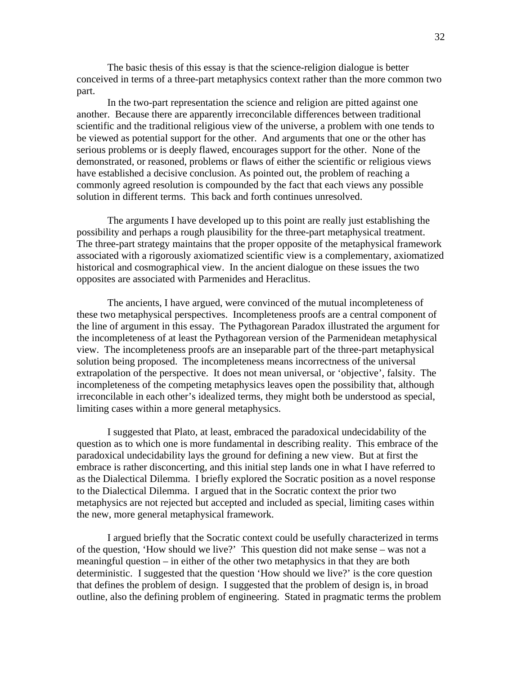The basic thesis of this essay is that the science-religion dialogue is better conceived in terms of a three-part metaphysics context rather than the more common two part.

 In the two-part representation the science and religion are pitted against one another. Because there are apparently irreconcilable differences between traditional scientific and the traditional religious view of the universe, a problem with one tends to be viewed as potential support for the other. And arguments that one or the other has serious problems or is deeply flawed, encourages support for the other. None of the demonstrated, or reasoned, problems or flaws of either the scientific or religious views have established a decisive conclusion. As pointed out, the problem of reaching a commonly agreed resolution is compounded by the fact that each views any possible solution in different terms. This back and forth continues unresolved.

 The arguments I have developed up to this point are really just establishing the possibility and perhaps a rough plausibility for the three-part metaphysical treatment. The three-part strategy maintains that the proper opposite of the metaphysical framework associated with a rigorously axiomatized scientific view is a complementary, axiomatized historical and cosmographical view. In the ancient dialogue on these issues the two opposites are associated with Parmenides and Heraclitus.

 The ancients, I have argued, were convinced of the mutual incompleteness of these two metaphysical perspectives. Incompleteness proofs are a central component of the line of argument in this essay. The Pythagorean Paradox illustrated the argument for the incompleteness of at least the Pythagorean version of the Parmenidean metaphysical view. The incompleteness proofs are an inseparable part of the three-part metaphysical solution being proposed. The incompleteness means incorrectness of the universal extrapolation of the perspective. It does not mean universal, or 'objective', falsity. The incompleteness of the competing metaphysics leaves open the possibility that, although irreconcilable in each other's idealized terms, they might both be understood as special, limiting cases within a more general metaphysics.

 I suggested that Plato, at least, embraced the paradoxical undecidability of the question as to which one is more fundamental in describing reality. This embrace of the paradoxical undecidability lays the ground for defining a new view. But at first the embrace is rather disconcerting, and this initial step lands one in what I have referred to as the Dialectical Dilemma. I briefly explored the Socratic position as a novel response to the Dialectical Dilemma. I argued that in the Socratic context the prior two metaphysics are not rejected but accepted and included as special, limiting cases within the new, more general metaphysical framework.

 I argued briefly that the Socratic context could be usefully characterized in terms of the question, 'How should we live?' This question did not make sense – was not a meaningful question – in either of the other two metaphysics in that they are both deterministic. I suggested that the question 'How should we live?' is the core question that defines the problem of design. I suggested that the problem of design is, in broad outline, also the defining problem of engineering. Stated in pragmatic terms the problem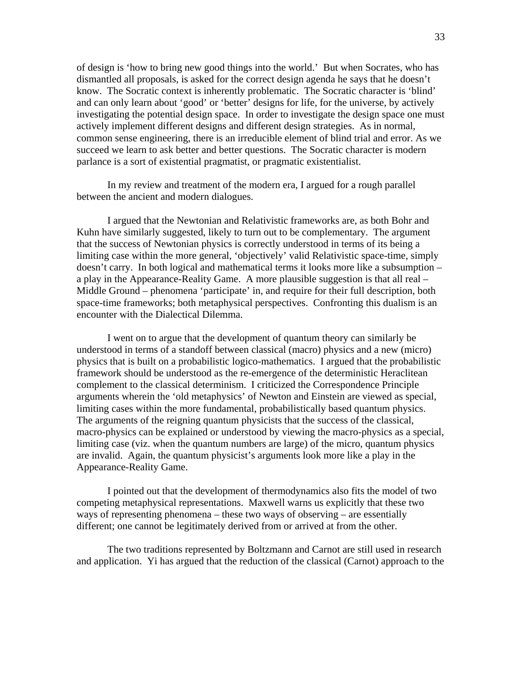of design is 'how to bring new good things into the world.' But when Socrates, who has dismantled all proposals, is asked for the correct design agenda he says that he doesn't know. The Socratic context is inherently problematic. The Socratic character is 'blind' and can only learn about 'good' or 'better' designs for life, for the universe, by actively investigating the potential design space. In order to investigate the design space one must actively implement different designs and different design strategies. As in normal, common sense engineering, there is an irreducible element of blind trial and error. As we succeed we learn to ask better and better questions. The Socratic character is modern parlance is a sort of existential pragmatist, or pragmatic existentialist.

 In my review and treatment of the modern era, I argued for a rough parallel between the ancient and modern dialogues.

 I argued that the Newtonian and Relativistic frameworks are, as both Bohr and Kuhn have similarly suggested, likely to turn out to be complementary. The argument that the success of Newtonian physics is correctly understood in terms of its being a limiting case within the more general, 'objectively' valid Relativistic space-time, simply doesn't carry. In both logical and mathematical terms it looks more like a subsumption – a play in the Appearance-Reality Game. A more plausible suggestion is that all real – Middle Ground – phenomena 'participate' in, and require for their full description, both space-time frameworks; both metaphysical perspectives. Confronting this dualism is an encounter with the Dialectical Dilemma.

 I went on to argue that the development of quantum theory can similarly be understood in terms of a standoff between classical (macro) physics and a new (micro) physics that is built on a probabilistic logico-mathematics. I argued that the probabilistic framework should be understood as the re-emergence of the deterministic Heraclitean complement to the classical determinism. I criticized the Correspondence Principle arguments wherein the 'old metaphysics' of Newton and Einstein are viewed as special, limiting cases within the more fundamental, probabilistically based quantum physics. The arguments of the reigning quantum physicists that the success of the classical, macro-physics can be explained or understood by viewing the macro-physics as a special, limiting case (viz. when the quantum numbers are large) of the micro, quantum physics are invalid. Again, the quantum physicist's arguments look more like a play in the Appearance-Reality Game.

 I pointed out that the development of thermodynamics also fits the model of two competing metaphysical representations. Maxwell warns us explicitly that these two ways of representing phenomena – these two ways of observing – are essentially different; one cannot be legitimately derived from or arrived at from the other.

 The two traditions represented by Boltzmann and Carnot are still used in research and application. Yi has argued that the reduction of the classical (Carnot) approach to the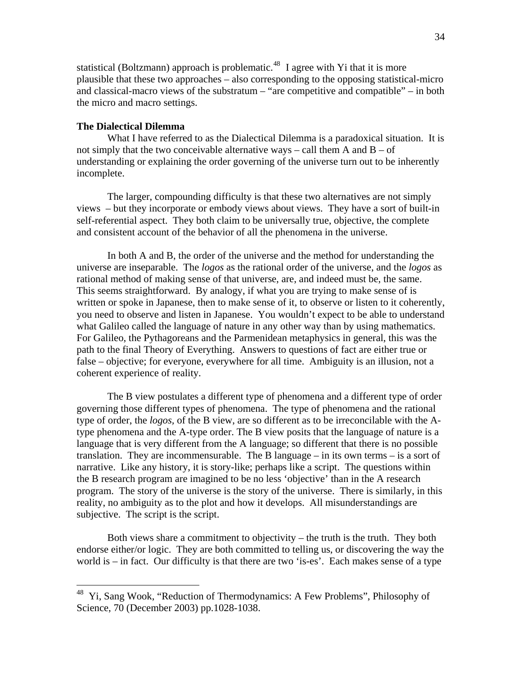statistical (Boltzmann) approach is problematic.<sup>[48](#page-33-0)</sup> I agree with Yi that it is more plausible that these two approaches – also corresponding to the opposing statistical-micro and classical-macro views of the substratum – "are competitive and compatible" – in both the micro and macro settings.

## **The Dialectical Dilemma**

 $\overline{a}$ 

 What I have referred to as the Dialectical Dilemma is a paradoxical situation. It is not simply that the two conceivable alternative ways – call them A and  $B - of$ understanding or explaining the order governing of the universe turn out to be inherently incomplete.

 The larger, compounding difficulty is that these two alternatives are not simply views – but they incorporate or embody views about views. They have a sort of built-in self-referential aspect. They both claim to be universally true, objective, the complete and consistent account of the behavior of all the phenomena in the universe.

 In both A and B, the order of the universe and the method for understanding the universe are inseparable. The *logos* as the rational order of the universe, and the *logos* as rational method of making sense of that universe, are, and indeed must be, the same. This seems straightforward. By analogy, if what you are trying to make sense of is written or spoke in Japanese, then to make sense of it, to observe or listen to it coherently, you need to observe and listen in Japanese. You wouldn't expect to be able to understand what Galileo called the language of nature in any other way than by using mathematics. For Galileo, the Pythagoreans and the Parmenidean metaphysics in general, this was the path to the final Theory of Everything. Answers to questions of fact are either true or false – objective; for everyone, everywhere for all time. Ambiguity is an illusion, not a coherent experience of reality.

 The B view postulates a different type of phenomena and a different type of order governing those different types of phenomena. The type of phenomena and the rational type of order, the *logos,* of the B view, are so different as to be irreconcilable with the Atype phenomena and the A-type order. The B view posits that the language of nature is a language that is very different from the A language; so different that there is no possible translation. They are incommensurable. The B language – in its own terms – is a sort of narrative. Like any history, it is story-like; perhaps like a script. The questions within the B research program are imagined to be no less 'objective' than in the A research program. The story of the universe is the story of the universe. There is similarly, in this reality, no ambiguity as to the plot and how it develops. All misunderstandings are subjective. The script is the script.

 Both views share a commitment to objectivity – the truth is the truth. They both endorse either/or logic. They are both committed to telling us, or discovering the way the world is – in fact. Our difficulty is that there are two 'is-es'. Each makes sense of a type

<span id="page-33-0"></span><sup>&</sup>lt;sup>48</sup> Yi, Sang Wook, "Reduction of Thermodynamics: A Few Problems", Philosophy of Science, 70 (December 2003) pp.1028-1038.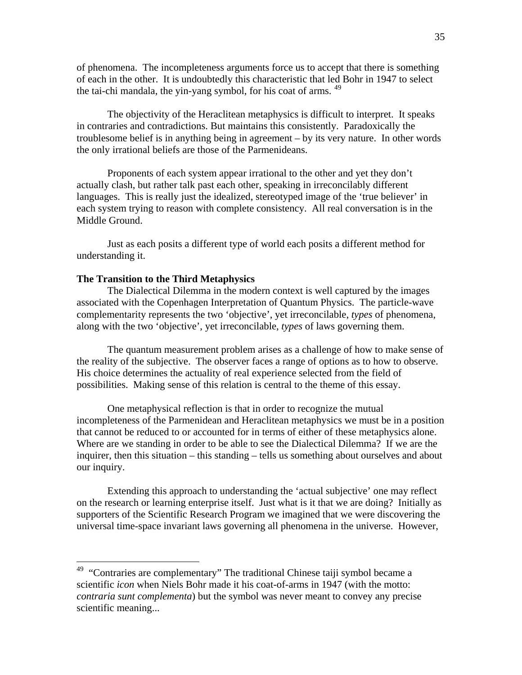of phenomena. The incompleteness arguments force us to accept that there is something of each in the other. It is undoubtedly this characteristic that led Bohr in 1947 to select the tai-chi mandala, the yin-yang symbol, for his coat of arms. <sup>[49](#page-34-0)</sup>

 The objectivity of the Heraclitean metaphysics is difficult to interpret. It speaks in contraries and contradictions. But maintains this consistently. Paradoxically the troublesome belief is in anything being in agreement – by its very nature. In other words the only irrational beliefs are those of the Parmenideans.

 Proponents of each system appear irrational to the other and yet they don't actually clash, but rather talk past each other, speaking in irreconcilably different languages. This is really just the idealized, stereotyped image of the 'true believer' in each system trying to reason with complete consistency. All real conversation is in the Middle Ground.

 Just as each posits a different type of world each posits a different method for understanding it.

# **The Transition to the Third Metaphysics**

 $\overline{a}$ 

 The Dialectical Dilemma in the modern context is well captured by the images associated with the Copenhagen Interpretation of Quantum Physics. The particle-wave complementarity represents the two 'objective', yet irreconcilable, *types* of phenomena, along with the two 'objective', yet irreconcilable, *types* of laws governing them.

 The quantum measurement problem arises as a challenge of how to make sense of the reality of the subjective. The observer faces a range of options as to how to observe. His choice determines the actuality of real experience selected from the field of possibilities. Making sense of this relation is central to the theme of this essay.

 One metaphysical reflection is that in order to recognize the mutual incompleteness of the Parmenidean and Heraclitean metaphysics we must be in a position that cannot be reduced to or accounted for in terms of either of these metaphysics alone. Where are we standing in order to be able to see the Dialectical Dilemma? If we are the inquirer, then this situation – this standing – tells us something about ourselves and about our inquiry.

 Extending this approach to understanding the 'actual subjective' one may reflect on the research or learning enterprise itself. Just what is it that we are doing? Initially as supporters of the Scientific Research Program we imagined that we were discovering the universal time-space invariant laws governing all phenomena in the universe. However,

<span id="page-34-0"></span><sup>&</sup>lt;sup>49</sup> "Contraries are complementary" The traditional Chinese taiji symbol became a scientific *icon* when Niels Bohr made it his coat-of-arms in 1947 (with the motto: *contraria sunt complementa*) but the symbol was never meant to convey any precise scientific meaning...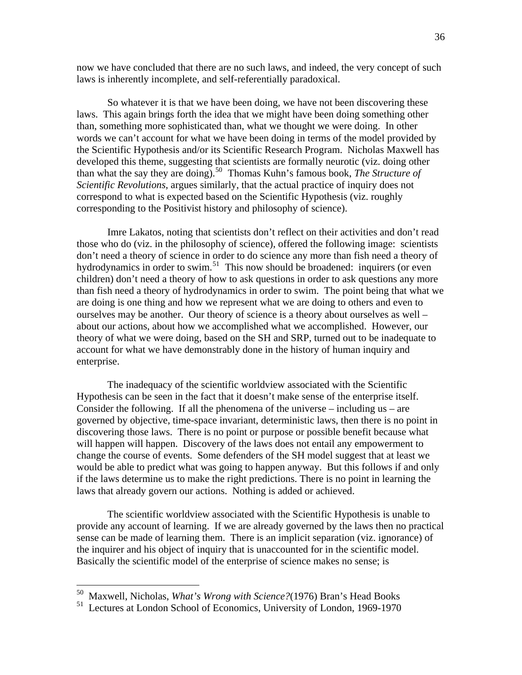now we have concluded that there are no such laws, and indeed, the very concept of such laws is inherently incomplete, and self-referentially paradoxical.

 So whatever it is that we have been doing, we have not been discovering these laws. This again brings forth the idea that we might have been doing something other than, something more sophisticated than, what we thought we were doing. In other words we can't account for what we have been doing in terms of the model provided by the Scientific Hypothesis and/or its Scientific Research Program. Nicholas Maxwell has developed this theme, suggesting that scientists are formally neurotic (viz. doing other than what the say they are doing).[50](#page-35-0) Thomas Kuhn's famous book, *The Structure of Scientific Revolutions*, argues similarly, that the actual practice of inquiry does not correspond to what is expected based on the Scientific Hypothesis (viz. roughly corresponding to the Positivist history and philosophy of science).

 Imre Lakatos, noting that scientists don't reflect on their activities and don't read those who do (viz. in the philosophy of science), offered the following image: scientists don't need a theory of science in order to do science any more than fish need a theory of hydrodynamics in order to swim.<sup>[51](#page-35-1)</sup> This now should be broadened: inquirers (or even children) don't need a theory of how to ask questions in order to ask questions any more than fish need a theory of hydrodynamics in order to swim. The point being that what we are doing is one thing and how we represent what we are doing to others and even to ourselves may be another. Our theory of science is a theory about ourselves as well – about our actions, about how we accomplished what we accomplished. However, our theory of what we were doing, based on the SH and SRP, turned out to be inadequate to account for what we have demonstrably done in the history of human inquiry and enterprise.

 The inadequacy of the scientific worldview associated with the Scientific Hypothesis can be seen in the fact that it doesn't make sense of the enterprise itself. Consider the following. If all the phenomena of the universe – including us – are governed by objective, time-space invariant, deterministic laws, then there is no point in discovering those laws. There is no point or purpose or possible benefit because what will happen will happen. Discovery of the laws does not entail any empowerment to change the course of events. Some defenders of the SH model suggest that at least we would be able to predict what was going to happen anyway. But this follows if and only if the laws determine us to make the right predictions. There is no point in learning the laws that already govern our actions. Nothing is added or achieved.

 The scientific worldview associated with the Scientific Hypothesis is unable to provide any account of learning. If we are already governed by the laws then no practical sense can be made of learning them. There is an implicit separation (viz. ignorance) of the inquirer and his object of inquiry that is unaccounted for in the scientific model. Basically the scientific model of the enterprise of science makes no sense; is

<sup>50</sup> Maxwell, Nicholas, *What's Wrong with Science?*(1976) Bran's Head Books

<span id="page-35-1"></span><span id="page-35-0"></span><sup>&</sup>lt;sup>51</sup> Lectures at London School of Economics, University of London, 1969-1970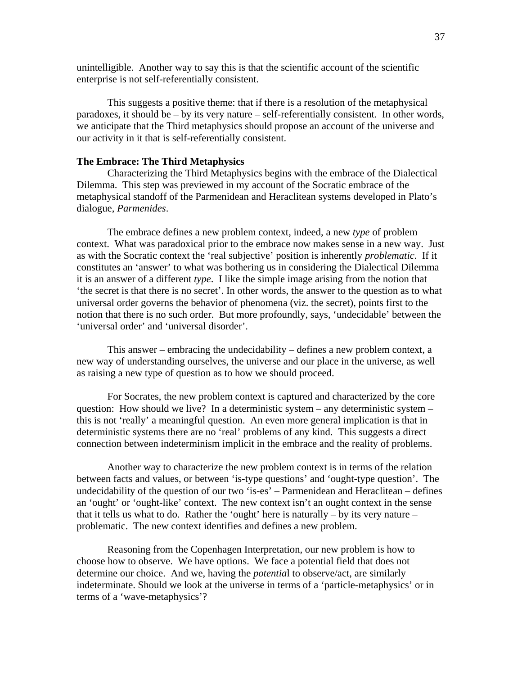unintelligible. Another way to say this is that the scientific account of the scientific enterprise is not self-referentially consistent.

 This suggests a positive theme: that if there is a resolution of the metaphysical paradoxes, it should be – by its very nature – self-referentially consistent. In other words, we anticipate that the Third metaphysics should propose an account of the universe and our activity in it that is self-referentially consistent.

### **The Embrace: The Third Metaphysics**

 Characterizing the Third Metaphysics begins with the embrace of the Dialectical Dilemma. This step was previewed in my account of the Socratic embrace of the metaphysical standoff of the Parmenidean and Heraclitean systems developed in Plato's dialogue, *Parmenides*.

 The embrace defines a new problem context, indeed, a new *type* of problem context. What was paradoxical prior to the embrace now makes sense in a new way. Just as with the Socratic context the 'real subjective' position is inherently *problematic*. If it constitutes an 'answer' to what was bothering us in considering the Dialectical Dilemma it is an answer of a different *type*. I like the simple image arising from the notion that 'the secret is that there is no secret'. In other words, the answer to the question as to what universal order governs the behavior of phenomena (viz. the secret), points first to the notion that there is no such order. But more profoundly, says, 'undecidable' between the 'universal order' and 'universal disorder'.

 This answer – embracing the undecidability – defines a new problem context, a new way of understanding ourselves, the universe and our place in the universe, as well as raising a new type of question as to how we should proceed.

 For Socrates, the new problem context is captured and characterized by the core question: How should we live? In a deterministic system – any deterministic system – this is not 'really' a meaningful question. An even more general implication is that in deterministic systems there are no 'real' problems of any kind. This suggests a direct connection between indeterminism implicit in the embrace and the reality of problems.

 Another way to characterize the new problem context is in terms of the relation between facts and values, or between 'is-type questions' and 'ought-type question'. The undecidability of the question of our two 'is-es' – Parmenidean and Heraclitean – defines an 'ought' or 'ought-like' context. The new context isn't an ought context in the sense that it tells us what to do. Rather the 'ought' here is naturally  $-$  by its very nature  $$ problematic. The new context identifies and defines a new problem.

 Reasoning from the Copenhagen Interpretation, our new problem is how to choose how to observe. We have options. We face a potential field that does not determine our choice. And we, having the *potentia*l to observe/act, are similarly indeterminate. Should we look at the universe in terms of a 'particle-metaphysics' or in terms of a 'wave-metaphysics'?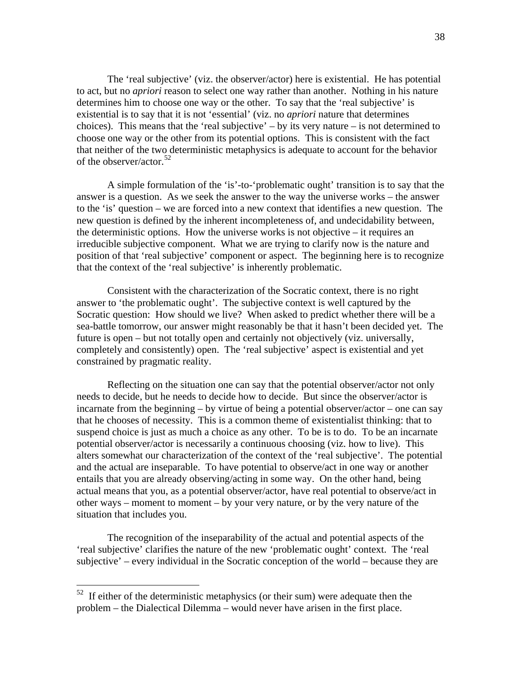The 'real subjective' (viz. the observer/actor) here is existential. He has potential to act, but no *apriori* reason to select one way rather than another. Nothing in his nature determines him to choose one way or the other. To say that the 'real subjective' is existential is to say that it is not 'essential' (viz. no *apriori* nature that determines choices). This means that the 'real subjective' – by its very nature – is not determined to choose one way or the other from its potential options. This is consistent with the fact that neither of the two deterministic metaphysics is adequate to account for the behavior of the observer/actor.<sup>[52](#page-37-0)</sup>

 A simple formulation of the 'is'-to-'problematic ought' transition is to say that the answer is a question. As we seek the answer to the way the universe works – the answer to the 'is' question – we are forced into a new context that identifies a new question. The new question is defined by the inherent incompleteness of, and undecidability between, the deterministic options. How the universe works is not objective – it requires an irreducible subjective component. What we are trying to clarify now is the nature and position of that 'real subjective' component or aspect. The beginning here is to recognize that the context of the 'real subjective' is inherently problematic.

 Consistent with the characterization of the Socratic context, there is no right answer to 'the problematic ought'. The subjective context is well captured by the Socratic question: How should we live? When asked to predict whether there will be a sea-battle tomorrow, our answer might reasonably be that it hasn't been decided yet. The future is open – but not totally open and certainly not objectively (viz. universally, completely and consistently) open. The 'real subjective' aspect is existential and yet constrained by pragmatic reality.

 Reflecting on the situation one can say that the potential observer/actor not only needs to decide, but he needs to decide how to decide. But since the observer/actor is incarnate from the beginning – by virtue of being a potential observer/actor – one can say that he chooses of necessity. This is a common theme of existentialist thinking: that to suspend choice is just as much a choice as any other. To be is to do. To be an incarnate potential observer/actor is necessarily a continuous choosing (viz. how to live). This alters somewhat our characterization of the context of the 'real subjective'. The potential and the actual are inseparable. To have potential to observe/act in one way or another entails that you are already observing/acting in some way. On the other hand, being actual means that you, as a potential observer/actor, have real potential to observe/act in other ways – moment to moment – by your very nature, or by the very nature of the situation that includes you.

 The recognition of the inseparability of the actual and potential aspects of the 'real subjective' clarifies the nature of the new 'problematic ought' context. The 'real subjective' – every individual in the Socratic conception of the world – because they are

<span id="page-37-0"></span> $52$  If either of the deterministic metaphysics (or their sum) were adequate then the problem – the Dialectical Dilemma – would never have arisen in the first place.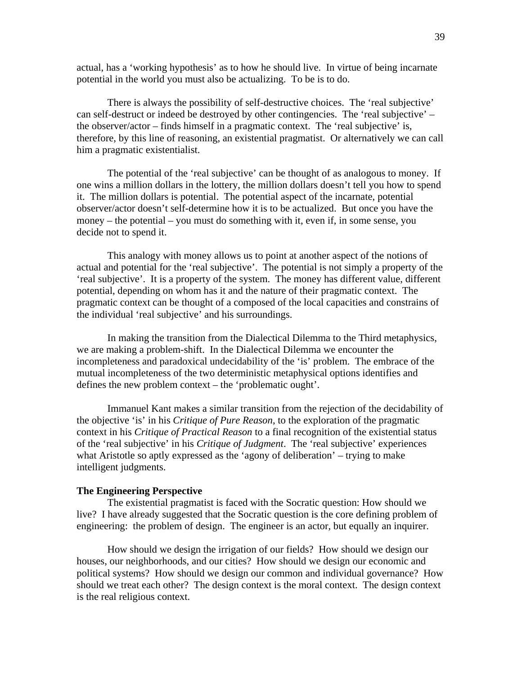actual, has a 'working hypothesis' as to how he should live. In virtue of being incarnate potential in the world you must also be actualizing. To be is to do.

 There is always the possibility of self-destructive choices. The 'real subjective' can self-destruct or indeed be destroyed by other contingencies. The 'real subjective' – the observer/actor – finds himself in a pragmatic context. The 'real subjective' is, therefore, by this line of reasoning, an existential pragmatist. Or alternatively we can call him a pragmatic existentialist.

The potential of the 'real subjective' can be thought of as analogous to money. If one wins a million dollars in the lottery, the million dollars doesn't tell you how to spend it. The million dollars is potential. The potential aspect of the incarnate, potential observer/actor doesn't self-determine how it is to be actualized. But once you have the money – the potential – you must do something with it, even if, in some sense, you decide not to spend it.

 This analogy with money allows us to point at another aspect of the notions of actual and potential for the 'real subjective'. The potential is not simply a property of the 'real subjective'. It is a property of the system. The money has different value, different potential, depending on whom has it and the nature of their pragmatic context. The pragmatic context can be thought of a composed of the local capacities and constrains of the individual 'real subjective' and his surroundings.

 In making the transition from the Dialectical Dilemma to the Third metaphysics, we are making a problem-shift. In the Dialectical Dilemma we encounter the incompleteness and paradoxical undecidability of the 'is' problem. The embrace of the mutual incompleteness of the two deterministic metaphysical options identifies and defines the new problem context – the 'problematic ought'.

 Immanuel Kant makes a similar transition from the rejection of the decidability of the objective 'is' in his *Critique of Pure Reason*, to the exploration of the pragmatic context in his *Critique of Practical Reason* to a final recognition of the existential status of the 'real subjective' in his *Critique of Judgment*. The 'real subjective' experiences what Aristotle so aptly expressed as the 'agony of deliberation' – trying to make intelligent judgments.

#### **The Engineering Perspective**

 The existential pragmatist is faced with the Socratic question: How should we live? I have already suggested that the Socratic question is the core defining problem of engineering: the problem of design. The engineer is an actor, but equally an inquirer.

 How should we design the irrigation of our fields? How should we design our houses, our neighborhoods, and our cities? How should we design our economic and political systems? How should we design our common and individual governance? How should we treat each other? The design context is the moral context. The design context is the real religious context.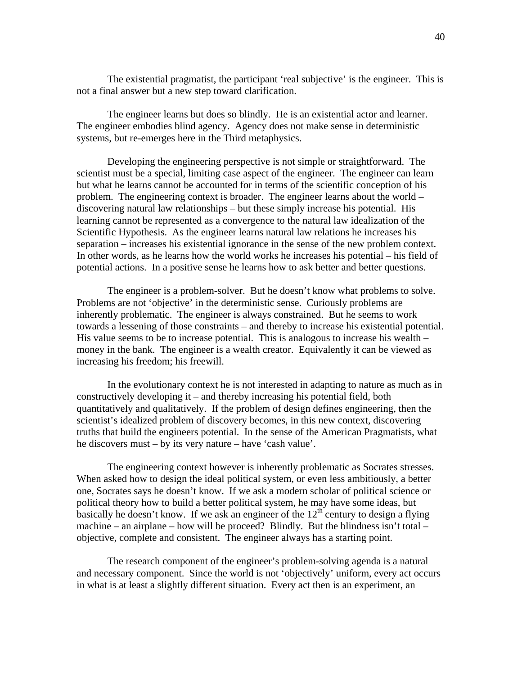The existential pragmatist, the participant 'real subjective' is the engineer. This is not a final answer but a new step toward clarification.

 The engineer learns but does so blindly. He is an existential actor and learner. The engineer embodies blind agency. Agency does not make sense in deterministic systems, but re-emerges here in the Third metaphysics.

 Developing the engineering perspective is not simple or straightforward. The scientist must be a special, limiting case aspect of the engineer. The engineer can learn but what he learns cannot be accounted for in terms of the scientific conception of his problem. The engineering context is broader. The engineer learns about the world – discovering natural law relationships – but these simply increase his potential. His learning cannot be represented as a convergence to the natural law idealization of the Scientific Hypothesis. As the engineer learns natural law relations he increases his separation – increases his existential ignorance in the sense of the new problem context. In other words, as he learns how the world works he increases his potential – his field of potential actions. In a positive sense he learns how to ask better and better questions.

 The engineer is a problem-solver. But he doesn't know what problems to solve. Problems are not 'objective' in the deterministic sense. Curiously problems are inherently problematic. The engineer is always constrained. But he seems to work towards a lessening of those constraints – and thereby to increase his existential potential. His value seems to be to increase potential. This is analogous to increase his wealth – money in the bank. The engineer is a wealth creator. Equivalently it can be viewed as increasing his freedom; his freewill.

 In the evolutionary context he is not interested in adapting to nature as much as in constructively developing it – and thereby increasing his potential field, both quantitatively and qualitatively. If the problem of design defines engineering, then the scientist's idealized problem of discovery becomes, in this new context, discovering truths that build the engineers potential. In the sense of the American Pragmatists, what he discovers must – by its very nature – have 'cash value'.

 The engineering context however is inherently problematic as Socrates stresses. When asked how to design the ideal political system, or even less ambitiously, a better one, Socrates says he doesn't know. If we ask a modern scholar of political science or political theory how to build a better political system, he may have some ideas, but basically he doesn't know. If we ask an engineer of the  $12<sup>th</sup>$  century to design a flying machine – an airplane – how will be proceed? Blindly. But the blindness isn't total – objective, complete and consistent. The engineer always has a starting point.

 The research component of the engineer's problem-solving agenda is a natural and necessary component. Since the world is not 'objectively' uniform, every act occurs in what is at least a slightly different situation. Every act then is an experiment, an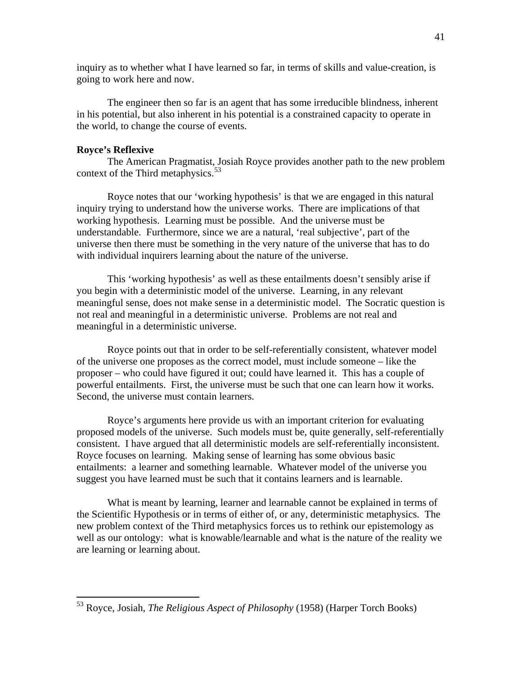inquiry as to whether what I have learned so far, in terms of skills and value-creation, is going to work here and now.

 The engineer then so far is an agent that has some irreducible blindness, inherent in his potential, but also inherent in his potential is a constrained capacity to operate in the world, to change the course of events.

### **Royce's Reflexive**

 $\overline{a}$ 

 The American Pragmatist, Josiah Royce provides another path to the new problem context of the Third metaphysics. $53$ 

 Royce notes that our 'working hypothesis' is that we are engaged in this natural inquiry trying to understand how the universe works. There are implications of that working hypothesis. Learning must be possible. And the universe must be understandable. Furthermore, since we are a natural, 'real subjective', part of the universe then there must be something in the very nature of the universe that has to do with individual inquirers learning about the nature of the universe.

 This 'working hypothesis' as well as these entailments doesn't sensibly arise if you begin with a deterministic model of the universe. Learning, in any relevant meaningful sense, does not make sense in a deterministic model. The Socratic question is not real and meaningful in a deterministic universe. Problems are not real and meaningful in a deterministic universe.

 Royce points out that in order to be self-referentially consistent, whatever model of the universe one proposes as the correct model, must include someone – like the proposer – who could have figured it out; could have learned it. This has a couple of powerful entailments. First, the universe must be such that one can learn how it works. Second, the universe must contain learners.

 Royce's arguments here provide us with an important criterion for evaluating proposed models of the universe. Such models must be, quite generally, self-referentially consistent. I have argued that all deterministic models are self-referentially inconsistent. Royce focuses on learning. Making sense of learning has some obvious basic entailments: a learner and something learnable. Whatever model of the universe you suggest you have learned must be such that it contains learners and is learnable.

 What is meant by learning, learner and learnable cannot be explained in terms of the Scientific Hypothesis or in terms of either of, or any, deterministic metaphysics. The new problem context of the Third metaphysics forces us to rethink our epistemology as well as our ontology: what is knowable/learnable and what is the nature of the reality we are learning or learning about.

<span id="page-40-0"></span><sup>53</sup> Royce, Josiah, *The Religious Aspect of Philosophy* (1958) (Harper Torch Books)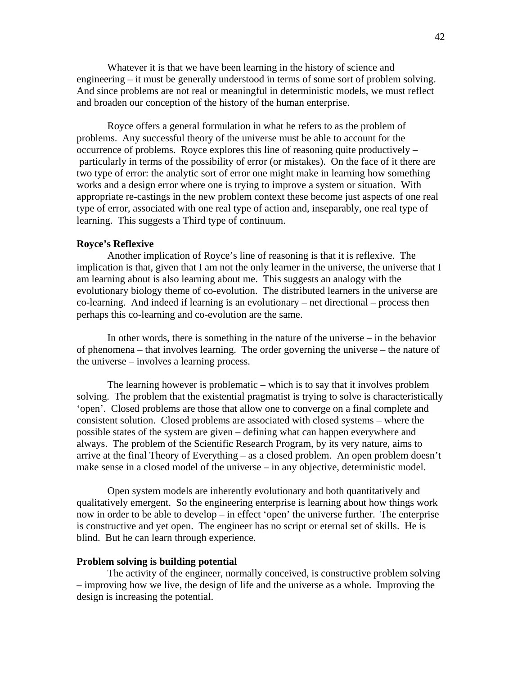Whatever it is that we have been learning in the history of science and engineering – it must be generally understood in terms of some sort of problem solving. And since problems are not real or meaningful in deterministic models, we must reflect and broaden our conception of the history of the human enterprise.

 Royce offers a general formulation in what he refers to as the problem of problems. Any successful theory of the universe must be able to account for the occurrence of problems. Royce explores this line of reasoning quite productively – particularly in terms of the possibility of error (or mistakes). On the face of it there are two type of error: the analytic sort of error one might make in learning how something works and a design error where one is trying to improve a system or situation. With appropriate re-castings in the new problem context these become just aspects of one real type of error, associated with one real type of action and, inseparably, one real type of learning. This suggests a Third type of continuum.

### **Royce's Reflexive**

 Another implication of Royce's line of reasoning is that it is reflexive. The implication is that, given that I am not the only learner in the universe, the universe that I am learning about is also learning about me. This suggests an analogy with the evolutionary biology theme of co-evolution. The distributed learners in the universe are co-learning. And indeed if learning is an evolutionary – net directional – process then perhaps this co-learning and co-evolution are the same.

 In other words, there is something in the nature of the universe – in the behavior of phenomena – that involves learning. The order governing the universe – the nature of the universe – involves a learning process.

 The learning however is problematic – which is to say that it involves problem solving. The problem that the existential pragmatist is trying to solve is characteristically 'open'. Closed problems are those that allow one to converge on a final complete and consistent solution. Closed problems are associated with closed systems – where the possible states of the system are given – defining what can happen everywhere and always. The problem of the Scientific Research Program, by its very nature, aims to arrive at the final Theory of Everything – as a closed problem. An open problem doesn't make sense in a closed model of the universe – in any objective, deterministic model.

 Open system models are inherently evolutionary and both quantitatively and qualitatively emergent. So the engineering enterprise is learning about how things work now in order to be able to develop – in effect 'open' the universe further. The enterprise is constructive and yet open. The engineer has no script or eternal set of skills. He is blind. But he can learn through experience.

### **Problem solving is building potential**

 The activity of the engineer, normally conceived, is constructive problem solving – improving how we live, the design of life and the universe as a whole. Improving the design is increasing the potential.